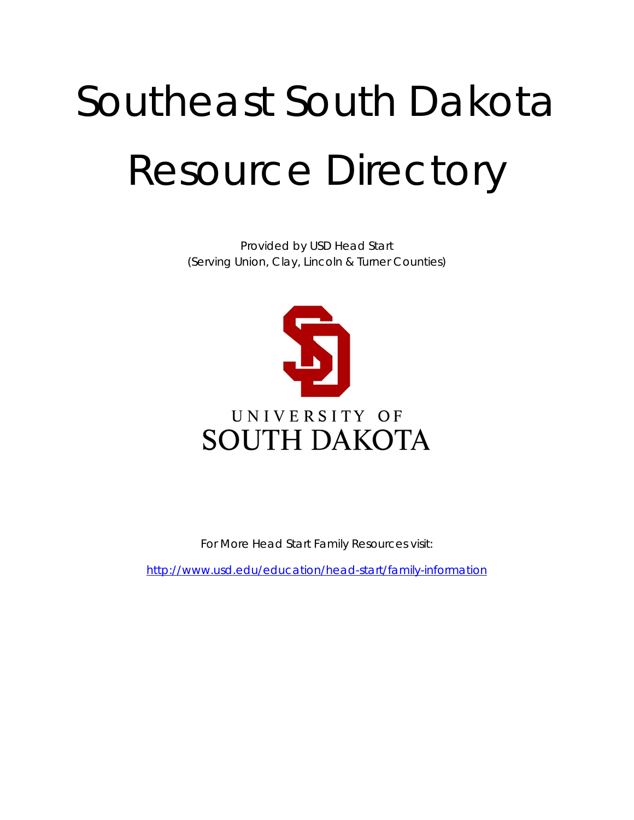# Southeast South Dakota Resource Directory

Provided by USD Head Start (Serving Union, Clay, Lincoln & Turner Counties)



For More Head Start Family Resources visit:

<http://www.usd.edu/education/head-start/family-information>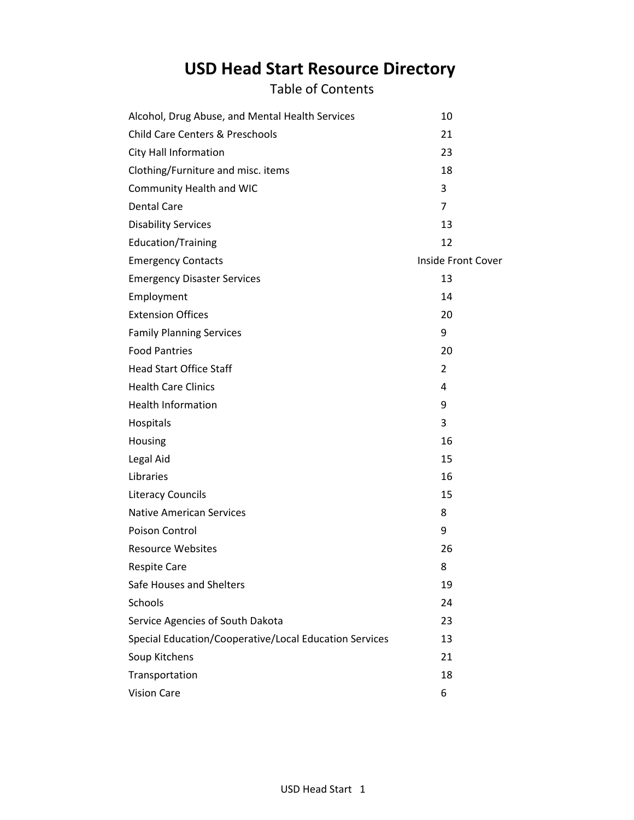# **USD Head Start Resource Directory**

Table of Contents

| Alcohol, Drug Abuse, and Mental Health Services        | 10                        |
|--------------------------------------------------------|---------------------------|
| <b>Child Care Centers &amp; Preschools</b>             | 21                        |
| City Hall Information                                  | 23                        |
| Clothing/Furniture and misc. items                     | 18                        |
| Community Health and WIC                               | 3                         |
| <b>Dental Care</b>                                     | $\overline{7}$            |
| <b>Disability Services</b>                             | 13                        |
| Education/Training                                     | 12                        |
| <b>Emergency Contacts</b>                              | <b>Inside Front Cover</b> |
| <b>Emergency Disaster Services</b>                     | 13                        |
| Employment                                             | 14                        |
| <b>Extension Offices</b>                               | 20                        |
| <b>Family Planning Services</b>                        | 9                         |
| <b>Food Pantries</b>                                   | 20                        |
| <b>Head Start Office Staff</b>                         | $\overline{2}$            |
| <b>Health Care Clinics</b>                             | 4                         |
| <b>Health Information</b>                              | 9                         |
| Hospitals                                              | 3                         |
| Housing                                                | 16                        |
| Legal Aid                                              | 15                        |
| Libraries                                              | 16                        |
| <b>Literacy Councils</b>                               | 15                        |
| <b>Native American Services</b>                        | 8                         |
| Poison Control                                         | 9                         |
| <b>Resource Websites</b>                               | 26                        |
| <b>Respite Care</b>                                    | 8                         |
| Safe Houses and Shelters                               | 19                        |
| Schools                                                | 24                        |
| Service Agencies of South Dakota                       | 23                        |
| Special Education/Cooperative/Local Education Services | 13                        |
| Soup Kitchens                                          | 21                        |
| Transportation                                         | 18                        |
| <b>Vision Care</b>                                     | 6                         |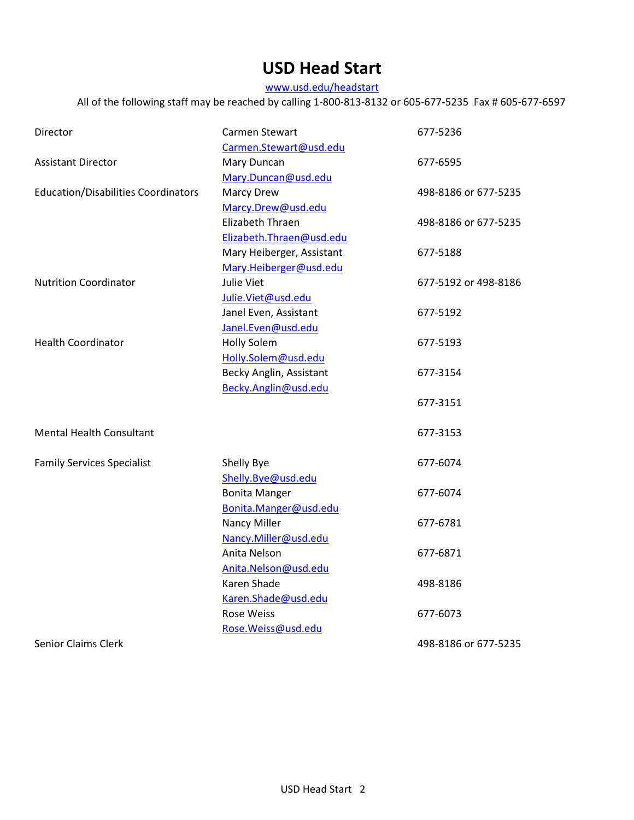# **USD Head Start**

www.usd.edu/headstart

All of the following staff may be reached by calling 1-800-813-8132 or 605-677-5235 Fax # 605-677-6597

| Director                                   | Carmen Stewart                       | 677-5236             |
|--------------------------------------------|--------------------------------------|----------------------|
|                                            | Carmen.Stewart@usd.edu               |                      |
| <b>Assistant Director</b>                  | Mary Duncan                          | 677-6595             |
|                                            | Mary.Duncan@usd.edu                  |                      |
| <b>Education/Disabilities Coordinators</b> | <b>Marcy Drew</b>                    | 498-8186 or 677-5235 |
|                                            | Marcy.Drew@usd.edu                   |                      |
|                                            | Elizabeth Thraen                     | 498-8186 or 677-5235 |
|                                            | Elizabeth.Thraen@usd.edu             |                      |
|                                            | Mary Heiberger, Assistant            | 677-5188             |
|                                            | Mary.Heiberger@usd.edu               |                      |
| <b>Nutrition Coordinator</b>               | Julie Viet                           | 677-5192 or 498-8186 |
|                                            | Julie.Viet@usd.edu                   |                      |
|                                            | Janel Even, Assistant                | 677-5192             |
|                                            | Janel.Even@usd.edu                   |                      |
| <b>Health Coordinator</b>                  | <b>Holly Solem</b>                   | 677-5193             |
|                                            | Holly.Solem@usd.edu                  |                      |
|                                            | Becky Anglin, Assistant              | 677-3154             |
|                                            | Becky.Anglin@usd.edu                 |                      |
|                                            |                                      | 677-3151             |
| <b>Mental Health Consultant</b>            |                                      | 677-3153             |
| <b>Family Services Specialist</b>          | Shelly Bye                           | 677-6074             |
|                                            | Shelly.Bye@usd.edu                   |                      |
|                                            | <b>Bonita Manger</b>                 | 677-6074             |
|                                            | Bonita.Manger@usd.edu                |                      |
|                                            | Nancy Miller                         | 677-6781             |
|                                            |                                      |                      |
|                                            | Nancy.Miller@usd.edu<br>Anita Nelson |                      |
|                                            |                                      | 677-6871             |
|                                            | Anita.Nelson@usd.edu                 |                      |
|                                            | Karen Shade                          | 498-8186             |
|                                            | Karen.Shade@usd.edu                  |                      |
|                                            | <b>Rose Weiss</b>                    | 677-6073             |
|                                            | Rose. Weiss@usd.edu                  |                      |
| <b>Senior Claims Clerk</b>                 |                                      | 498-8186 or 677-5235 |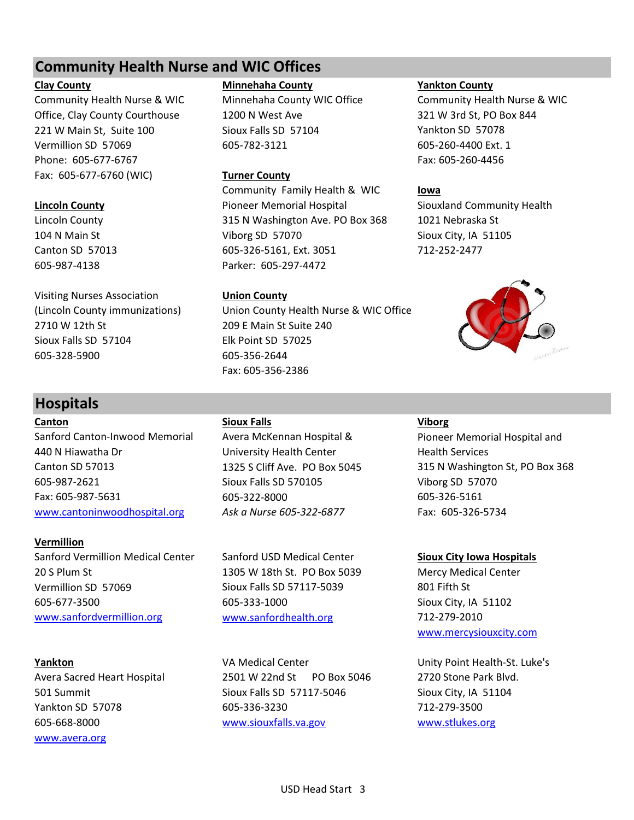# **Community Health Nurse and WIC Offices**

Community Health Nurse & WIC Minnehaha County WIC Office Community Health Nurse & WIC Office, Clay County Courthouse 1200 N West Ave 321 W 3rd St, PO Box 844 221 W Main St, Suite 100 Sioux Falls SD 57104 Yankton SD 57078 Vermillion SD 57069 605-782-3121 605-260-4400 Ext. 1 Phone: 605-677-6767 Fax: 605-260-4456 Fax: 605-677-6760 (WIC) **Turner County**

Visiting Nurses Association **Union County** 2710 W 12th St 209 E Main St Suite 240 Sioux Falls SD 57104 Elk Point SD 57025 605-328-5900 605-356-2644

# **Hospitals**

**Canton Sioux Falls Viborg** Sanford Canton-Inwood Memorial Avera McKennan Hospital & Pioneer Memorial Hospital and 440 N Hiawatha Dr University Health Center Health Services Canton SD 57013 1325 S Cliff Ave. PO Box 5045 315 N Washington St, PO Box 368 605-987-2621 Sioux Falls SD 570105 Viborg SD 57070 Fax: 605-987-5631 605-322-8000 605-326-5161 [www.cantoninwoodhospital.org](http://www.cantoninwoodhospital.org/) Ask a Nurse 605-322-6877 Fax: 605-326-5734

**Vermillion** Sanford Vermillion Medical Center Sanford USD Medical Center **Sioux City Iowa Hospitals** 20 S Plum St 1305 W 18th St. PO Box 5039 Mercy Medical Center Vermillion SD 57069 Sioux Falls SD 57117-5039 801 Fifth St 605-677-3500 605-333-1000 Sioux City, IA 51102 [www.sanfordvermillion.org](http://www.sanfordvermillion.org/) [www.sanfordhealth.org](http://www.sanfordhealth.org/) 712-279-2010

[www.avera.org](http://www.avera.org/)

# **Clay County Minnehaha County Yankton County**

Community Family Health & WIC **Iowa Lincoln County County Pioneer Memorial Hospital Siouxland Community Health** Lincoln County 315 N Washington Ave. PO Box 368 1021 Nebraska St 104 N Main St Viborg SD 57070 Sioux City, IA 51105 Canton SD 57013 605-326-5161, Ext. 3051 712-252-2477 605-987-4138 Parker: 605-297-4472

(Lincoln County immunizations) Union County Health Nurse & WIC Office Fax: 605-356-2386

**Yankton VA Medical Center VA Medical Center Unity Point Health-St. Luke's** Avera Sacred Heart Hospital 2501 W 22nd St PO Box 5046 2720 Stone Park Blvd. 501 Summit Sioux Falls SD 57117-5046 Sioux City, IA 51104 Yankton SD 57078 605-336-3230 712-279-3500 605-668-8000 [www.siouxfalls.va.gov](http://www.siouxfalls.va.gov/) [www.stlukes.org](http://www.stlukes.org/)



[www.mercysiouxcity.com](http://www.mercysiouxcity.com/)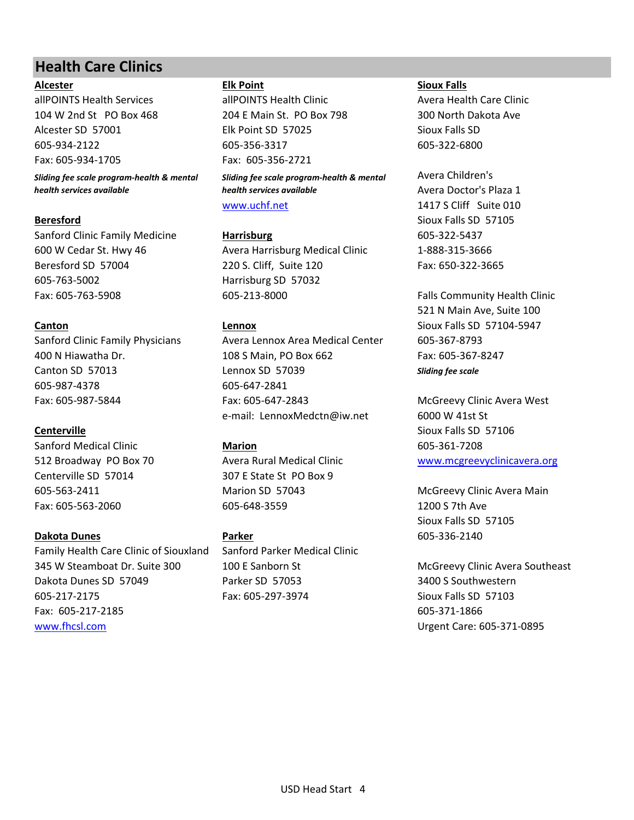# **Health Care Clinics**

allPOINTS Health Services allPOINTS Health Clinic Avera Health Care Clinic 104 W 2nd St PO Box 468 204 E Main St. PO Box 798 300 North Dakota Ave Alcester SD 57001 Elk Point SD 57025 Sioux Falls SD 605-934-2122 605-356-3317 605-322-6800 Fax: 605-934-1705 Fax: 605-356-2721

*Sliding fee scale program-health & mental health services available*

Sanford Clinic Family Medicine **Harrisburg Harrisburg** 605-322-5437 605-763-5002 Harrisburg SD 57032

605-987-4378 605-647-2841

Sanford Medical Clinic **Marion** 605-361-7208 Centerville SD 57014 307 E State St PO Box 9

# **Dakota Dunes Parker** 605-336-2140

Family Health Care Clinic of Siouxland Sanford Parker Medical Clinic 345 W Steamboat Dr. Suite 300 100 E Sanborn St McGreevy Clinic Avera Southeast Dakota Dunes SD 57049 Parker SD 57053 3400 S Southwestern 605-217-2175 Fax: 605-297-3974 Sioux Falls SD 57103 Fax: 605-217-2185 605-371-1866 [www.fhcsl.com](http://www.fhcsl.com/) Urgent Care: 605-371-0895

*Sliding fee scale program-health & mental health services available* [www.uchf.net](http://www.uchf.net/) 1417 S Cliff Suite 010

600 W Cedar St. Hwy 46 Avera Harrisburg Medical Clinic 1-888-315-3666 Beresford SD 57004 220 S. Cliff, Suite 120 Fax: 650-322-3665 Fax: 605-763-5908 605-213-8000 Falls Community Health Clinic

Sanford Clinic Family Physicians Avera Lennox Area Medical Center 605-367-8793 400 N Hiawatha Dr. 108 S Main, PO Box 662 Fax: 605-367-8247 Canton SD 57013 Lennox SD 57039 *Sliding fee scale* Fax: 605-987-5844 Fax: 605-647-2843 McGreevy Clinic Avera West e-mail: LennoxMedctn@iw.net 6000 W 41st St

Fax: 605-563-2060 605-648-3559 1200 S 7th Ave

# **Alcester Elk Point Sioux Falls**

Avera Children's Avera Doctor's Plaza 1 **Beresford** Sioux Falls SD 57105

521 N Main Ave, Suite 100 **Canton Canton Canton Lennox Canton** Sioux Falls SD 57104-5947

**Centerville** Sioux Falls SD 57106 512 Broadway PO Box 70 Avera Rural Medical Clinic [www.mcgreevyclinicavera.org](http://www.mcgreevyclinicavera.org/)

605-563-2411 Marion SD 57043 McGreevy Clinic Avera Main Sioux Falls SD 57105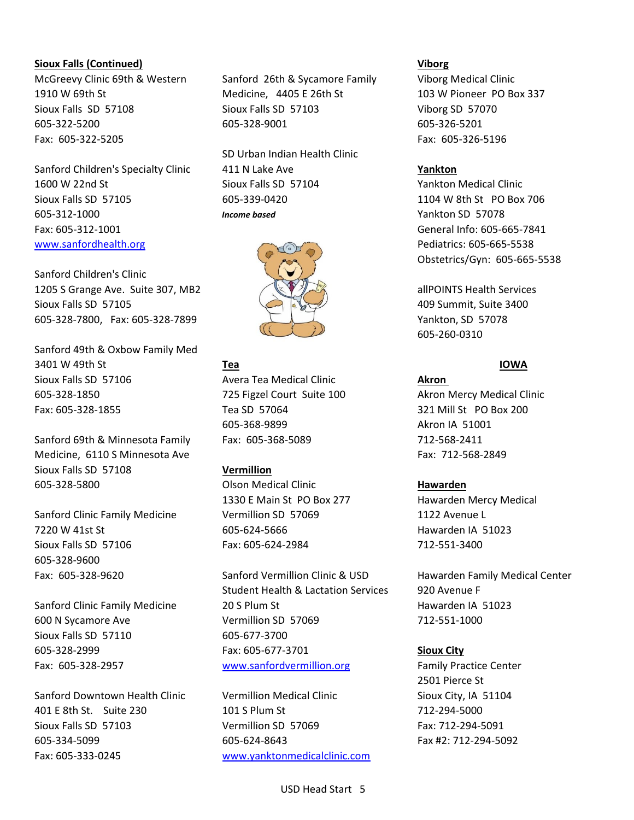### **Sioux Falls (Continued) Viborg**

Fax: 605-322-5205 Fax: 605-326-5196

Sanford Children's Specialty Clinic 411 N Lake Ave **Yankton** 1600 W 22nd St Sioux Falls SD 57104 Yankton Medical Clinic Sioux Falls SD 57105 605-339-0420 1104 W 8th St PO Box 706 605-312-1000 *Income based* Yankton SD 57078 Fax: 605-312-1001 General Info: 605-665-7841 [www.sanfordhealth.org](http://www.sanfordhealth.org/) Pediatrics: 605-665-5538

Sanford Children's Clinic 1205 S Grange Ave. Suite 307, MB2 allPOINTS Health Services Sioux Falls SD 57105  $\Box$  409 Summit, Suite 3400 605-328-7800, Fax: 605-328-7899 Yankton, SD 57078

Sanford 49th & Oxbow Family Med 3401 W 49th St **Tea IOWA** Sioux Falls SD 57106 Avera Tea Medical Clinic **Akron**  605-328-1850 725 Figzel Court Suite 100 Akron Mercy Medical Clinic Fax: 605-328-1855 Tea SD 57064 321 Mill St PO Box 200

Sanford 69th & Minnesota Family Fax: 605-368-5089 712-568-2411 Medicine, 6110 S Minnesota Ave **Fax: 712-568-2849** Fax: 712-568-2849 Sioux Falls SD 57108 **Vermillion** 605-328-5800 Olson Medical Clinic **Hawarden**

Sanford Clinic Family Medicine **Vermillion SD** 57069 1122 Avenue L 7220 W 41st St 605-624-5666 Hawarden IA 51023 Sioux Falls SD 57106 Fax: 605-624-2984 712-551-3400 605-328-9600

Sioux Falls SD 57110 605-677-3700

Sanford Downtown Health Clinic Vermillion Medical Clinic Sioux City, IA 51104 401 E 8th St. Suite 230 101 S Plum St 712-294-5000 Sioux Falls SD 57103 **Vermillion SD 57069** Fax: 712-294-5091 605-334-5099 605-624-8643 Fax #2: 712-294-5092 Fax: 605-333-0245 [www.yanktonmedicalclinic.com](http://www.yanktonmedicalclinic.com/)

McGreevy Clinic 69th & Western Sanford 26th & Sycamore Family Viborg Medical Clinic 1910 W 69th St Medicine, 4405 E 26th St 103 W Pioneer PO Box 337 Sioux Falls SD 57108 Sioux Falls SD 57103 Viborg SD 57070 605-322-5200 605-328-9001 605-326-5201

SD Urban Indian Health Clinic



605-368-9899 Akron IA 51001

1330 E Main St PO Box 277 Hawarden Mercy Medical

Fax: 605-328-9620 Sanford Vermillion Clinic & USD Hawarden Family Medical Center Student Health & Lactation Services 920 Avenue F Sanford Clinic Family Medicine 20 S Plum St Family 10 September 20 S Plum St Family 3 St Australian Hawarden IA 600 N Sycamore Ave Vermillion SD 57069 712-551-1000 605-328-2999 Fax: 605-677-3701 **Sioux City** Fax: 605-328-2957 [www.sanfordvermillion.org](http://www.sanfordvermillion.org/) Family Practice Center

Obstetrics/Gyn: 605-665-5538

605-260-0310

2501 Pierce St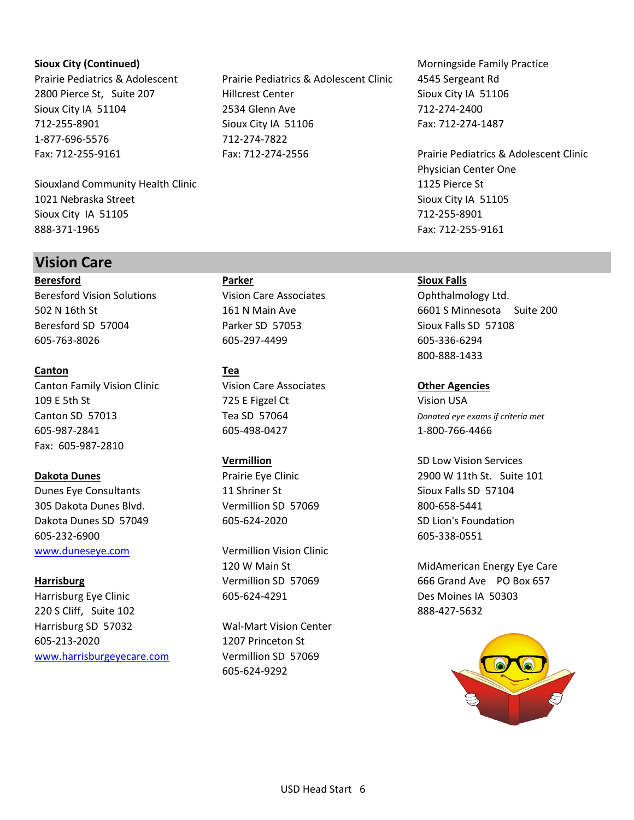1-877-696-5576 712-274-7822

Siouxland Community Health Clinic 1125 Pierce St 1021 Nebraska Street Sioux City IA 51105 Sioux City IA 51105 712-255-8901 888-371-1965 Fax: 712-255-9161

# **Vision Care**

**Beresford Parker Sioux Falls** Beresford Vision Solutions **Vision Care Associates** Ophthalmology Ltd. Beresford SD 57004 Parker SD 57053 Sioux Falls SD 57108 605-763-8026 605-297-4499 605-336-6294

# **Canton Tea**

Canton Family Vision Clinic Vision Care Associates **Other Agencies** 109 E 5th St 725 E Figzel Ct 725 USS 725 E Figzel Ct 75 Vision USA Canton SD 57013 Tea SD 57064 *Donated eye exams if criteria met* 605-987-2841 605-498-0427 1-800-766-4466 Fax: 605-987-2810

Dunes Eye Consultants **11 Shriner St** Sioux Falls SD 57104 305 Dakota Dunes Blvd. Vermillion SD 57069 800-658-5441 Dakota Dunes SD 57049 605-624-2020 SD Lion's Foundation 605-232-6900 605-338-0551 [www.duneseye.com](http://www.duneseye.com/) Vermillion Vision Clinic

Harrisburg Eye Clinic **605-624-4291** Des Moines IA 50303 220 S Cliff, Suite 102 888-427-5632 Harrisburg SD 57032 Wal-Mart Vision Center 605-213-2020 1207 Princeton St [www.harrisburgeyecare.com](http://www.harrisburgeyecare.com/) Vermillion SD 57069

Prairie Pediatrics & Adolescent Prairie Pediatrics & Adolescent Clinic 4545 Sergeant Rd 2800 Pierce St, Suite 207 Hillcrest Center Sioux City IA 51106 Sioux City IA 51104 2534 Glenn Ave 712-274-2400 712-255-8901 Sioux City IA 51106 Fax: 712-274-1487 Fax: 712-255-9161 Fax: 712-274-2556 Prairie Pediatrics & Adolescent Clinic

605-624-9292

**Sioux City (Continued) Morningside Family Practice Morningside Family Practice** 

Physician Center One

502 N 16th St 161 N Main Ave 6601 S Minnesota Suite 200 800-888-1433

**Vermillion** SD Low Vision Services **Dakota Dunes Prairie Eye Clinic Prairie Eye Clinic Prairie Expansion 12900 W 11th St. Suite 101** 

120 W Main St **MidAmerican Energy Eye Care** Harrisburg **Harrisburg Vermillion SD 57069** 666 Grand Ave PO Box 657

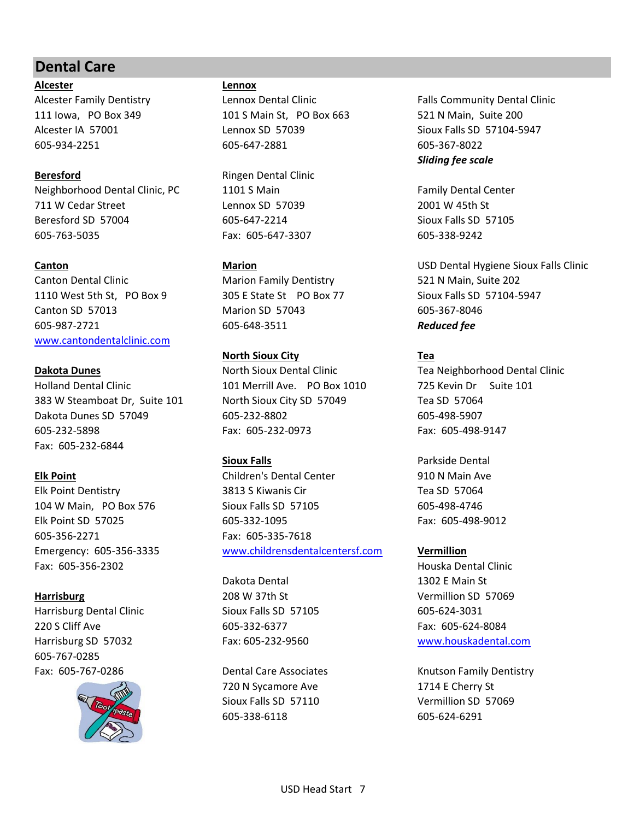# **Dental Care**

**Alcester Lennox**

**Beresford** Ringen Dental Clinic Neighborhood Dental Clinic, PC 1101 S Main Family Dental Center 711 W Cedar Street The Lennox SD 57039 2001 W 45th St Beresford SD 57004 605-647-2214 Sioux Falls SD 57105 605-763-5035 Fax: 605-647-3307 605-338-9242

Canton Dental Clinic **Marion Family Dentistry** 521 N Main, Suite 202 1110 West 5th St, PO Box 9 305 E State St PO Box 77 Sioux Falls SD 57104-5947 Canton SD 57013 Marion SD 57043 605-367-8046 605-987-2721 605-648-3511 *Reduced fee* [www.cantondentalclinic.com](http://www.cantondentalclinic.com/)

Holland Dental Clinic 101 Merrill Ave. PO Box 1010 725 Kevin Dr Suite 101 383 W Steamboat Dr, Suite 101 North Sioux City SD 57049 Tea SD 57064 Dakota Dunes SD 57049 605-232-8802 605-498-5907 605-232-5898 Fax: 605-232-0973 Fax: 605-498-9147 Fax: 605-232-6844

605-356-2271 Fax: 605-335-7618 Fax: 605-356-2302 Houska Dental Clinic

Harrisburg Dental Clinic Clinic Control Sioux Falls SD 57105 605-624-3031 220 S Cliff Ave 605-332-6377 Fax: 605-624-8084 Harrisburg SD 57032 Fax: 605-232-9560 [www.houskadental.com](http://www.houskadental.com/) 605-767-0285



111 Iowa, PO Box 349 101 S Main St, PO Box 663 521 N Main, Suite 200 Alcester IA 57001 Lennox SD 57039 Sioux Falls SD 57104-5947 605-934-2251 605-647-2881 605-367-8022

# **North Sioux City Tea**

**Dakota Dunes** North Sioux Dental Clinic Tea Neighborhood Dental Clinic

**Elk Point** Children's Dental Center 910 N Main Ave Elk Point Dentistry 3813 S Kiwanis Cir Tea SD 57064 104 W Main, PO Box 576 Sioux Falls SD 57105 605-498-4746 Elk Point SD 57025 605-332-1095 Fax: 605-498-9012 Emergency: 605-356-3335 [www.childrensdentalcentersf.com](http://www.childrensdentalcentersf.com/) **Vermillion**

Dakota Dental 1302 E Main St **Harrisburg** 208 W 37th St 208 W 37th St Vermillion SD 57069

> 720 N Sycamore Ave 1714 E Cherry St Sioux Falls SD 57110 Vermillion SD 57069 605-338-6118 605-624-6291

Alcester Family Dentistry **Lennox Dental Clinic** Falls Community Dental Clinic **Falls Community Dental Clinic** *Sliding fee scale*

**Canton Marion Marion Marion Marion Marion USD Dental Hygiene Sioux Falls Clinic** 

**Sioux Falls Parkside Dental** 

Fax: 605-767-0286 Dental Care Associates Knutson Family Dentistry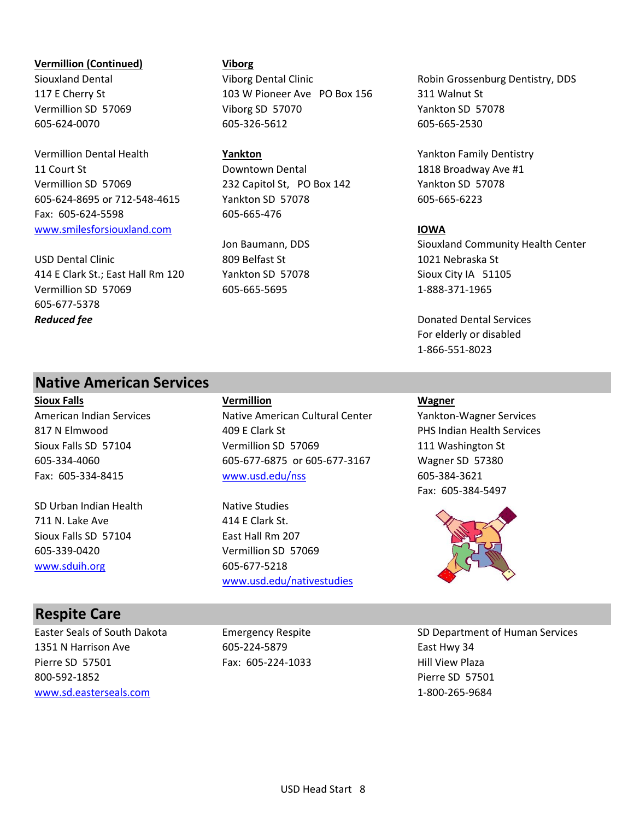### **Vermillion (Continued) Viborg**

Vermillion Dental Health **Yankton** Yankton Family Dentistry 11 Court St **1818 Broadway Ave #1** Downtown Dental 1818 Broadway Ave #1 Vermillion SD 57069 232 Capitol St, PO Box 142 Yankton SD 57078 605-624-8695 or 712-548-4615 Yankton SD 57078 605-665-6223 Fax: 605-624-5598 605-665-476 [www.smilesforsiouxland.com](http://www.smilesforsiouxland.com/) **IOWA**

USD Dental Clinic 809 Belfast St 1021 Nebraska St 414 E Clark St.; East Hall Rm 120 Yankton SD 57078 Sioux City IA 51105 Vermillion SD 57069 605-665-5695 1-888-371-1965 605-677-5378 *Reduced fee* Donated Dental Services

117 E Cherry St 103 W Pioneer Ave PO Box 156 311 Walnut St Vermillion SD 57069 Viborg SD 57070 Yankton SD 57078 605-624-0070 605-326-5612 605-665-2530

Siouxland Dental **Siouxland Dental Clinic** Viborg Dental Clinic **Robin Grossenburg Dentistry, DDS** 

Jon Baumann, DDS Siouxland Community Health Center

For elderly or disabled 1-866-551-8023

# **Native American Services**

SD Urban Indian Health Native Studies 711 N. Lake Ave 414 E Clark St. Sioux Falls SD 57104 East Hall Rm 207 605-339-0420 Vermillion SD 57069 [www.sduih.org](http://www.sduih.org/) 605-677-5218

**Sioux Falls Vermillion Wagner** American Indian Services Native American Cultural Center Nation-Wagner Services 817 N Elmwood **Acker Access ACCE** Clark St **PHS** Indian Health Services Sioux Falls SD 57104 **Vermillion SD 57069** 111 Washington St 605-334-4060 605-677-6875 or 605-677-3167 Wagner SD 57380 Fax: 605-334-8415 [www.usd.edu/nss](http://www.usd.edu/nss) 605-384-3621

[www.usd.edu/nativestudies](http://www.usd.edu/nativestudies)

Fax: 605-384-5497



# **Respite Care**

1351 N Harrison Ave 605-224-5879 East Hwy 34 Pierre SD 57501 Fax: 605-224-1033 Hill View Plaza 800-592-1852 Pierre SD 57501 [www.sd.easterseals.com](http://www.sd.easterseals.com/) 1-800-265-9684

Easter Seals of South Dakota **Emergency Respite** SD Department of Human Services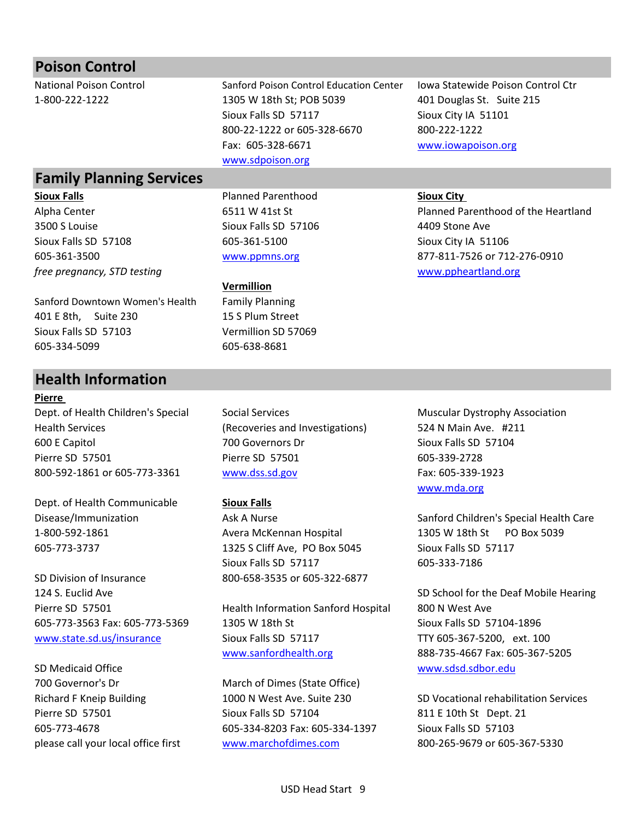| <b>Poison Control</b>              |                                            |                                        |
|------------------------------------|--------------------------------------------|----------------------------------------|
| <b>National Poison Control</b>     | Sanford Poison Control Education Center    | Iowa Statewide Poison Control Ctr      |
| 1-800-222-1222                     | 1305 W 18th St; POB 5039                   | 401 Douglas St. Suite 215              |
|                                    | Sioux Falls SD 57117                       | Sioux City IA 51101                    |
|                                    | 800-22-1222 or 605-328-6670                | 800-222-1222                           |
|                                    | Fax: 605-328-6671                          | www.iowapoison.org                     |
|                                    | www.sdpoison.org                           |                                        |
| <b>Family Planning Services</b>    |                                            |                                        |
| <b>Sioux Falls</b>                 | <b>Planned Parenthood</b>                  | <b>Sioux City</b>                      |
| Alpha Center                       | 6511 W 41st St                             | Planned Parenthood of the Heartland    |
| 3500 S Louise                      | Sioux Falls SD 57106                       | 4409 Stone Ave                         |
| Sioux Falls SD 57108               | 605-361-5100                               | Sioux City IA 51106                    |
| 605-361-3500                       | www.ppmns.org                              | 877-811-7526 or 712-276-0910           |
| free pregnancy, STD testing        |                                            | www.ppheartland.org                    |
|                                    | Vermillion                                 |                                        |
| Sanford Downtown Women's Health    | <b>Family Planning</b>                     |                                        |
| 401 E 8th, Suite 230               | 15 S Plum Street                           |                                        |
| Sioux Falls SD 57103               | Vermillion SD 57069                        |                                        |
| 605-334-5099                       | 605-638-8681                               |                                        |
|                                    |                                            |                                        |
|                                    |                                            |                                        |
| <b>Health Information</b>          |                                            |                                        |
| <b>Pierre</b>                      |                                            |                                        |
| Dept. of Health Children's Special | <b>Social Services</b>                     | <b>Muscular Dystrophy Association</b>  |
| <b>Health Services</b>             | (Recoveries and Investigations)            | 524 N Main Ave. #211                   |
| 600 E Capitol                      | 700 Governors Dr                           | Sioux Falls SD 57104                   |
| Pierre SD 57501                    | Pierre SD 57501                            | 605-339-2728                           |
| 800-592-1861 or 605-773-3361       | www.dss.sd.gov                             | Fax: 605-339-1923                      |
|                                    |                                            | www.mda.org                            |
| Dept. of Health Communicable       | <b>Sioux Falls</b>                         |                                        |
| Disease/Immunization               | Ask A Nurse                                | Sanford Children's Special Health Care |
| 1-800-592-1861                     | Avera McKennan Hospital                    | 1305 W 18th St PO Box 5039             |
| 605-773-3737                       | 1325 S Cliff Ave, PO Box 5045              | Sioux Falls SD 57117                   |
|                                    | Sioux Falls SD 57117                       | 605-333-7186                           |
| SD Division of Insurance           | 800-658-3535 or 605-322-6877               |                                        |
| 124 S. Euclid Ave                  |                                            | SD School for the Deaf Mobile Hearing  |
| Pierre SD 57501                    | <b>Health Information Sanford Hospital</b> | 800 N West Ave                         |
| 605-773-3563 Fax: 605-773-5369     | 1305 W 18th St                             | Sioux Falls SD 57104-1896              |
| www.state.sd.us/insurance          | Sioux Falls SD 57117                       | TTY 605-367-5200, ext. 100             |
|                                    | www.sanfordhealth.org                      | 888-735-4667 Fax: 605-367-5205         |
| SD Medicaid Office                 |                                            | www.sdsd.sdbor.edu                     |

Richard F Kneip Building 1000 N West Ave. Suite 230 SD Vocational rehabilitation Services Pierre SD 57501 Sioux Falls SD 57104 811 E 10th St Dept. 21 605-773-4678 605-334-8203 Fax: 605-334-1397 Sioux Falls SD 57103 please call your local office first [www.marchofdimes.com](http://www.marchofdimes.com/) 800-265-9679 or 605-367-5330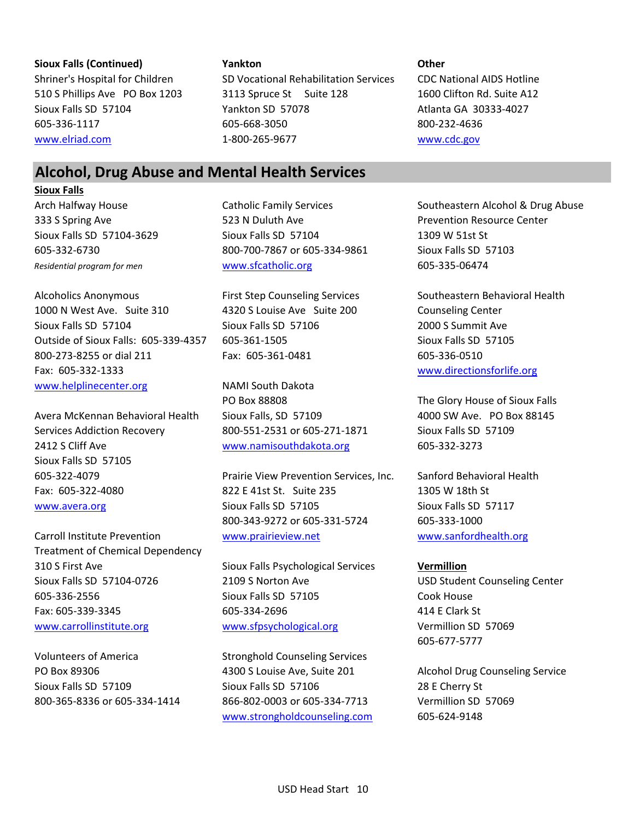### **Sioux Falls (Continued) Yankton Other**

Shriner's Hospital for Children SD Vocational Rehabilitation Services CDC National AIDS Hotline 510 S Phillips Ave PO Box 1203 3113 Spruce St Suite 128 1600 Clifton Rd. Suite A12 Sioux Falls SD 57104 Yankton SD 57078 Atlanta GA 30333-4027 605-336-1117 605-668-3050 800-232-4636 [www.elriad.com](http://www.elriad.com/) 1-800-265-9677 [www.cdc.gov](http://www.cdc.gov/)

# **Alcohol, Drug Abuse and Mental Health Services**

## **Sioux Falls**

Alcoholics Anonymous First Step Counseling Services Southeastern Behavioral Health 1000 N West Ave. Suite 310 4320 S Louise Ave Suite 200 Counseling Center Sioux Falls SD 57104 Sioux Falls SD 57106 2000 S Summit Ave Outside of Sioux Falls: 605-339-4357 605-361-1505 Sioux Falls SD 57105 800-273-8255 or dial 211 Fax: 605-361-0481 605-336-0510 Fax: 605-332-1333 [www.directionsforlife.org](http://www.directionsforlife.org/) [www.helplinecenter.org](http://www.helplinecenter.org/) NAMI South Dakota

Avera McKennan Behavioral Health Sioux Falls, SD 57109 4000 SW Ave. PO Box 88145 Services Addiction Recovery 800-551-2531 or 605-271-1871 Sioux Falls SD 57109 2412 S Cliff Ave [www.namisouthdakota.org](http://www.namisouthdakota.org/) 605-332-3273 Sioux Falls SD 57105

Treatment of Chemical Dependency 310 S First Ave Sioux Falls Psychological Services **Vermillion** Sioux Falls SD 57104-0726 2109 S Norton Ave USD Student Counseling Center 605-336-2556 Sioux Falls SD 57105 Cook House Fax: 605-339-3345 605-334-2696 414 E Clark St [www.carrollinstitute.org](http://www.carrollinstitute.org/) [www.sfpsychological.org](http://www.sfpsychological.org/) Vermillion SD 57069

Volunteers of America Stronghold Counseling Services

333 S Spring Ave **523 N Duluth Ave Prevention Resource Center** Center Sioux Falls SD 57104-3629 Sioux Falls SD 57104 1309 W 51st St 605-332-6730 800-700-7867 or 605-334-9861 Sioux Falls SD 57103 *Residential program for men* [www.sfcatholic.org](http://www.sfcatholic.org/) 605-335-06474

PO Box 88808 The Glory House of Sioux Falls

605-322-4079 Prairie View Prevention Services, Inc. Sanford Behavioral Health Fax: 605-322-4080 822 E 41st St. Suite 235 1305 W 18th St [www.avera.org](http://www.avera.org/) Sioux Falls SD 57105 Sioux Falls SD 57117 800-343-9272 or 605-331-5724 605-333-1000 Carroll Institute Prevention [www.prairieview.net](http://www.prairieview.net/) [www.sanfordhealth.org](http://www.sanfordhealth.org/)

PO Box 89306 **4300 S** Louise Ave, Suite 201 Alcohol Drug Counseling Service Sioux Falls SD 57109 Sioux Falls SD 57106 28 E Cherry St 800-365-8336 or 605-334-1414 866-802-0003 or 605-334-7713 Vermillion SD 57069 [www.strongholdcounseling.com](http://www.strongholdcounseling.com/) 605-624-9148

Arch Halfway House **Catholic Family Services** Southeastern Alcohol & Drug Abuse

605-677-5777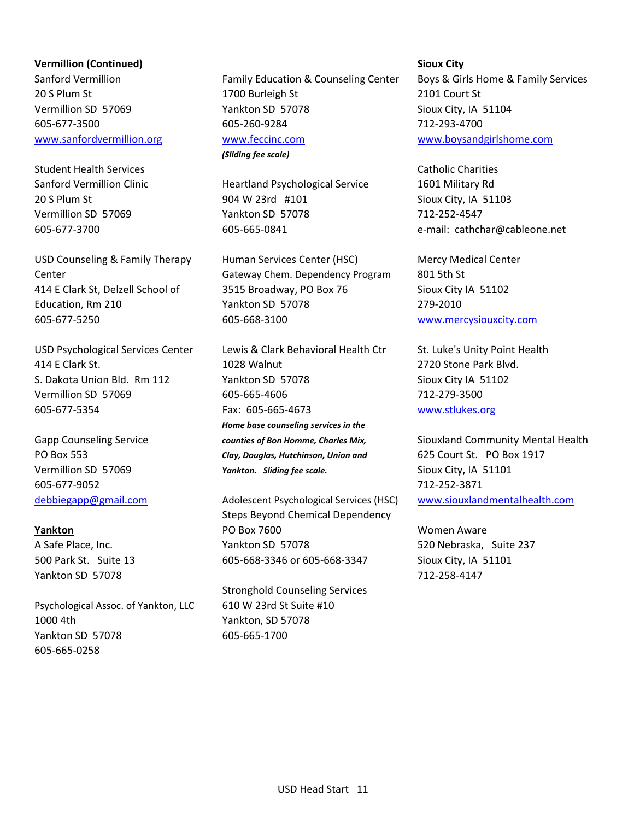# **Vermillion (Continued) Sioux City**

Student Health Services **Catholic Charities** Catholic Charities **Catholic Charities** 

605-677-9052 712-252-3871

605-665-0258

Yankton SD 57078 712-258-4147 Psychological Assoc. of Yankton, LLC 610 W 23rd St Suite #10 1000 4th Yankton, SD 57078 Yankton SD 57078 605-665-1700

Sanford Vermillion Family Education & Counseling Center Boys & Girls Home & Family Services 20 S Plum St 1700 Burleigh St 2101 Court St Vermillion SD 57069 Yankton SD 57078 Sioux City, IA 51104 605-677-3500 605-260-9284 712-293-4700 [www.sanfordvermillion.org](http://www.sanfordvermillion.org/) [www.feccinc.com](http://www.feccinc.com/) [www.boysandgirlshome.com](http://www.boysandgirlshome.com/) *(Sliding fee scale)*

Sanford Vermillion Clinic **Heartland Psychological Service** 1601 Military Rd 20 S Plum St 904 W 23rd #101 Sioux City, IA 51103 Vermillion SD 57069 Yankton SD 57078 712-252-4547

USD Counseling & Family Therapy Human Services Center (HSC) Mercy Medical Center Center Gateway Chem. Dependency Program 801 5th St 414 E Clark St, Delzell School of 3515 Broadway, PO Box 76 Sioux City IA 51102 Education, Rm 210 Yankton SD 57078 279-2010 605-677-5250 605-668-3100 [www.mercysiouxcity.com](http://www.mercysiouxcity.com/)

USD Psychological Services Center Lewis & Clark Behavioral Health Ctr St. Luke's Unity Point Health 414 E Clark St. 1028 Walnut 2720 Stone Park Blvd. S. Dakota Union Bld. Rm 112 Yankton SD 57078 Sioux City IA 51102 Vermillion SD 57069 605-665-4606 712-279-3500 605-677-5354 Fax: 605-665-4673 [www.stlukes.org](http://www.stlukes.org/) *Home base counseling services in the* PO Box 553 *Clay, Douglas, Hutchinson, Union and* 625 Court St. PO Box 1917 Vermillion SD 57069 *Yankton. Sliding fee scale.* Sioux City, IA 51101

[debbiegapp@gmail.com](mailto:debbiegapp@gmail.com) Adolescent Psychological Services (HSC) [www.siouxlandmentalhealth.com](http://www.siouxlandmentalhealth.com/) Steps Beyond Chemical Dependency **Yankton PO Box 7600** Women Aware A Safe Place, Inc. The Same Canadian SD 57078 520 Nebraska, Suite 237 500 Park St. Suite 13 605-668-3346 or 605-668-3347 Sioux City, IA 51101

Stronghold Counseling Services

605-677-3700 605-665-0841 e-mail: cathchar@cableone.net

Gapp Counseling Service *counties of Bon Homme, Charles Mix,* Siouxland Community Mental Health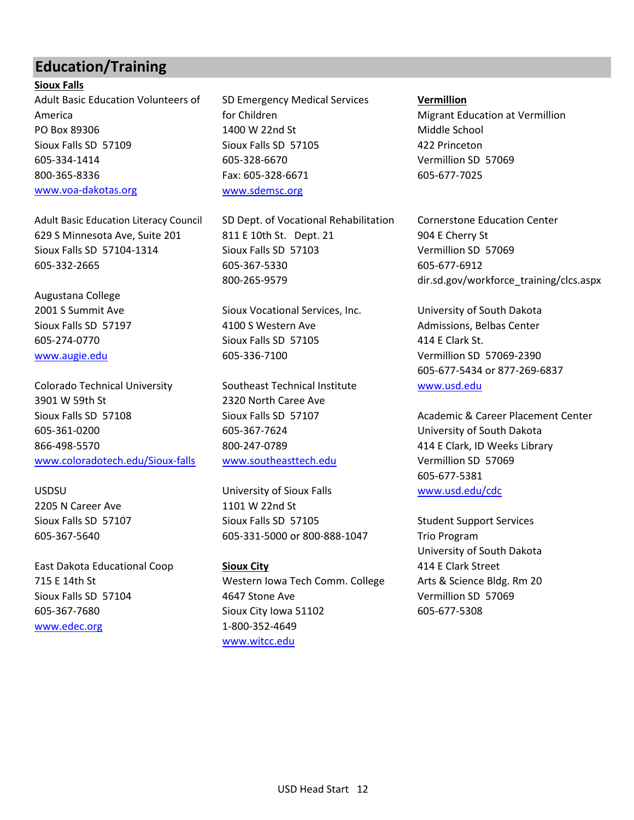# **Education/Training**

**Sioux Falls** Adult Basic Education Volunteers of SD Emergency Medical Services **Vermillion** America **Formullion for Children Migrant Education at Vermillion Migrant Education at Vermillion** PO Box 89306 **1400 W 22nd St Middle School** PO Box 89306 Sioux Falls SD 57109 Sioux Falls SD 57105 422 Princeton 605-334-1414 605-328-6670 Vermillion SD 57069 800-365-8336 Fax: 605-328-6671 605-677-7025 [www.voa-dakotas.org](http://www.voa-dakotas.org/) [www.sdemsc.org](http://www.sdemsc.org/)

Augustana College

Colorado Technical University Southeast Technical Institute Www.usd.edu 3901 W 59th St 2320 North Caree Ave 605-361-0200 605-367-7624 University of South Dakota 866-498-5570 800-247-0789 414 E Clark, ID Weeks Library [www.coloradotech.edu/Sioux-falls](http://www.coloradotech.edu/Sioux-falls) [www.southeasttech.edu](http://www.southeasttech.edu/) Vermillion SD 57069

2205 N Career Ave 1101 W 22nd St

[www.edec.org](http://www.edec.org/) 1-800-352-4649

Adult Basic Education Literacy Council SD Dept. of Vocational Rehabilitation Cornerstone Education Center 629 S Minnesota Ave, Suite 201 811 E 10th St. Dept. 21 904 E Cherry St Sioux Falls SD 57104-1314 Sioux Falls SD 57103 Vermillion SD 57069 605-332-2665 605-367-5330 605-677-6912

2001 S Summit Ave Sioux Vocational Services, Inc. University of South Dakota Sioux Falls SD 57197 **4100 S Western Ave Admissions, Belbas Center** Admissions, Belbas Center 605-274-0770 Sioux Falls SD 57105 414 E Clark St. [www.augie.edu](http://www.augie.edu/) 605-336-7100 Vermillion SD 57069-2390

USDSU University of Sioux Falls [www.usd.edu/cdc](http://www.usd.edu/cdc) Sioux Falls SD 57107 Sioux Falls SD 57105 Student Support Services 605-367-5640 605-331-5000 or 800-888-1047 Trio Program

East Dakota Educational Coop **Sioux City** 414 E Clark Street 715 E 14th St Western Iowa Tech Comm. College Arts & Science Bldg. Rm 20 Sioux Falls SD 57104 4647 Stone Ave Vermillion SD 57069 605-367-7680 Sioux City Iowa 51102 605-677-5308 [www.witcc.edu](http://www.witcc.edu/)

800-265-9579 dir.sd.gov/workforce\_training/clcs.aspx

605-677-5434 or 877-269-6837

Sioux Falls SD 57108 Sioux Falls SD 57107 Academic & Career Placement Center 605-677-5381

University of South Dakota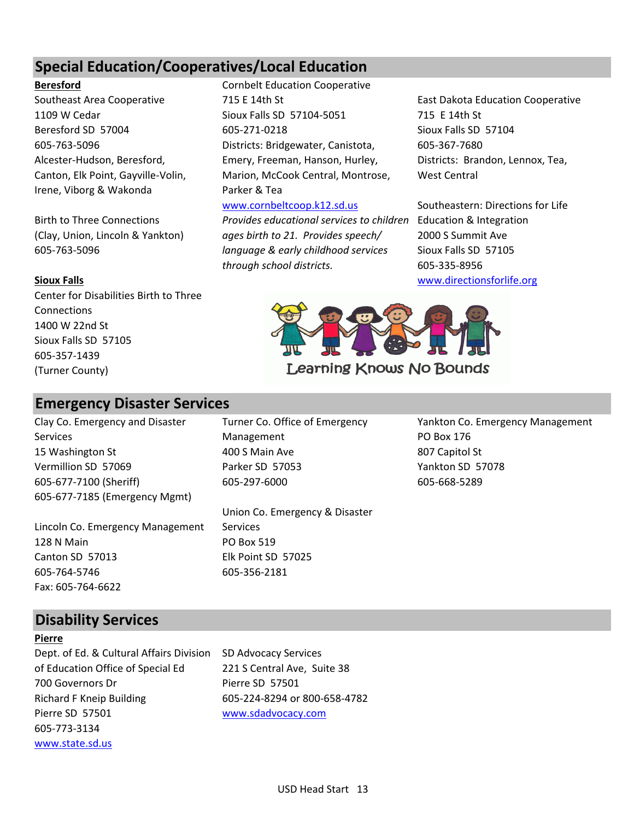# **Special Education/Cooperatives/Local Education**

# **Beresford** Cornbelt Education Cooperative

1109 W Cedar Sioux Falls SD 57104-5051 715 E 14th St Beresford SD 57004 605-271-0218 Sioux Falls SD 57104 605-763-5096 Districts: Bridgewater, Canistota, 605-367-7680 Alcester-Hudson, Beresford, Emery, Freeman, Hanson, Hurley, Districts: Brandon, Lennox, Tea, Canton, Elk Point, Gayville-Volin, Marion, McCook Central, Montrose, West Central Irene, Viborg & Wakonda Parker & Tea

Birth to Three Connections *Provides educational services to children* Education & Integration (Clay, Union, Lincoln & Yankton) *ages birth to 21. Provides speech/* 2000 S Summit Ave 605-763-5096 *language & early childhood services* Sioux Falls SD 57105

Center for Disabilities Birth to Three Connections 1400 W 22nd St Sioux Falls SD 57105 605-357-1439 (Turner County)

# **Emergency Disaster Services**

Services **Management** PO Box 176 15 Washington St **400 S Main Ave 807 Capitol St** 400 S Main Ave Vermillion SD 57069 Parker SD 57053 Yankton SD 57078 605-677-7100 (Sheriff) 605-297-6000 605-668-5289 605-677-7185 (Emergency Mgmt)

Lincoln Co. Emergency Management Services 128 N Main PO Box 519 Canton SD 57013 Elk Point SD 57025 605-764-5746 605-356-2181 Fax: 605-764-6622

Union Co. Emergency & Disaster

Southeast Area Cooperative Table 715 E 14th St East Dakota Education Cooperative

[www.cornbeltcoop.k12.sd.us](http://www.cornbeltcoop.k12.sd.us/) Southeastern: Directions for Life *through school districts.* 605-335-8956 **Sioux Falls** [www.directionsforlife.org](http://www.directionsforlife.org/)



Clay Co. Emergency and Disaster Turner Co. Office of Emergency Yankton Co. Emergency Management

# **Disability Services**

### **Pierre**

Dept. of Ed. & Cultural Affairs Division SD Advocacy Services of Education Office of Special Ed 221 S Central Ave, Suite 38 700 Governors Dr Pierre SD 57501 Richard F Kneip Building 605-224-8294 or 800-658-4782 Pierre SD 57501 [www.sdadvocacy.com](http://www.sdadvocacy.com/) 605-773-3134 [www.state.sd.us](http://www.state.sd.us/)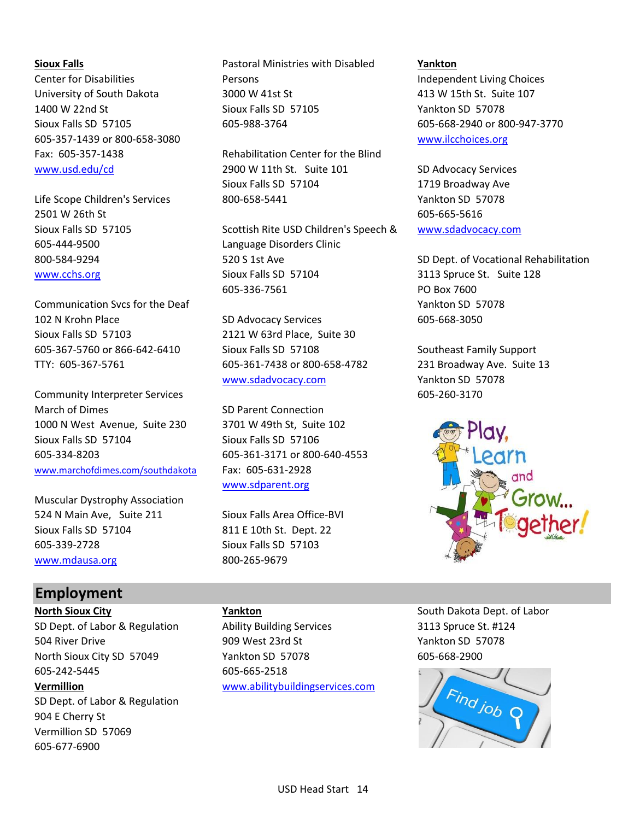605-357-1439 or 800-658-3080 [www.ilcchoices.org](http://www.ilcchoices.org/)

2501 W 26th St 605-665-5616 605-444-9500 Language Disorders Clinic

Communication Svcs for the Deaf Yankton SD 57078 102 N Krohn Place SD Advocacy Services 605-668-3050 Sioux Falls SD 57103 2121 W 63rd Place, Suite 30 605-367-5760 or 866-642-6410 Sioux Falls SD 57108 Southeast Family Support TTY: 605-367-5761 605-361-7438 or 800-658-4782 231 Broadway Ave. Suite 13

Community Interpreter Services 605-260-3170 March of Dimes SD Parent Connection 1000 N West Avenue, Suite 230 3701 W 49th St, Suite 102 Sioux Falls SD 57104 Sioux Falls SD 57106 605-334-8203 605-361-3171 or 800-640-4553 [www.marchofdimes.com/southdakota](http://www.marchofdimes.com/southdakota) Fax: 605-631-2928

Muscular Dystrophy Association 524 N Main Ave, Suite 211 Sioux Falls Area Office-BVI Sioux Falls SD 57104 811 E 10th St. Dept. 22 605-339-2728 Sioux Falls SD 57103 [www.mdausa.org](http://www.mdausa.org/) 800-265-9679

**Sioux Falls Pastoral Ministries with Disabled <b>Pankton Yankton** Center for Disabilities **Persons** Persons and *Persons* Independent Living Choices University of South Dakota 3000 W 41st St 413 W 15th St. Suite 107 1400 W 22nd St Sioux Falls SD 57105 Yankton SD 57078 Sioux Falls SD 57105 605-988-3764 605-668-2940 or 800-947-3770

Fax: 605-357-1438 Rehabilitation Center for the Blind [www.usd.edu/cd](http://www.usd.edu/cd) 2900 W 11th St. Suite 101 SD Advocacy Services Sioux Falls SD 57104 1719 Broadway Ave Life Scope Children's Services 800-658-5441 Yankton SD 57078

Sioux Falls SD 57105 Scottish Rite USD Children's Speech & [www.sdadvocacy.com](http://www.sdadvocacy.com/) 800-584-9294 520 S 1st Ave Superintendent SD Dept. of Vocational Rehabilitation [www.cchs.org](http://www.cchs.org/) Sioux Falls SD 57104 3113 Spruce St. Suite 128 605-336-7561 PO Box 7600

[www.sdadvocacy.com](http://www.sdadvocacy.com/) Yankton SD 57078

[www.sdparent.org](http://www.sdparent.org/)



# **Employment**

605-242-5445 605-665-2518 SD Dept. of Labor & Regulation 904 E Cherry St Vermillion SD 57069 605-677-6900

SD Dept. of Labor & Regulation Ability Building Services 3113 Spruce St. #124 504 River Drive 909 West 23rd St Yankton SD 57078 North Sioux City SD 57049 Yankton SD 57078 605-668-2900 **Vermillion** [www.abilitybuildingservices.com](http://www.abilitybuildingservices.com/)

**North Sioux City Yankton Yankton South Dakota Dept. of Labor North Sioux City South Dakota Dept. of Labor** 

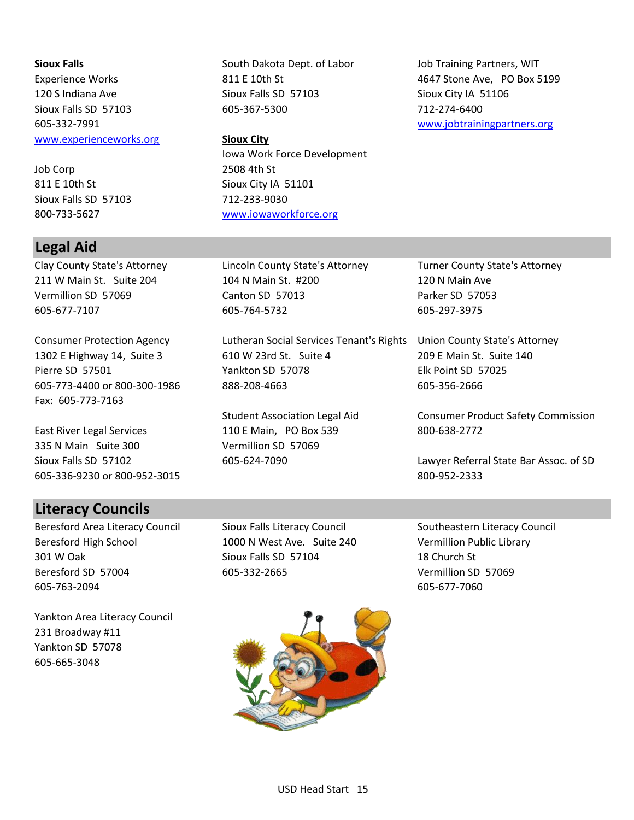[www.experienceworks.org](http://www.experienceworks.org/) **Sioux City**

Job Corp 2508 4th St 811 E 10th St Sioux City IA 51101 Sioux Falls SD 57103 712-233-9030

# **Legal Aid**

Fax: 605-773-7163

East River Legal Services 110 E Main, PO Box 539 800-638-2772 335 N Main Suite 300 Vermillion SD 57069 605-336-9230 or 800-952-3015 800-952-2333

# **Literacy Councils**

Beresford Area Literacy Council Sioux Falls Literacy Council Southeastern Literacy Council Beresford High School 1000 N West Ave. Suite 240 Vermillion Public Library 301 W Oak Sioux Falls SD 57104 18 Church St Beresford SD 57004 605-332-2665 Vermillion SD 57069 605-763-2094 605-677-7060

Yankton Area Literacy Council 231 Broadway #11 Yankton SD 57078 605-665-3048

120 S Indiana Ave Sioux Falls SD 57103 Sioux City IA 51106 Sioux Falls SD 57103 605-367-5300 712-274-6400

Iowa Work Force Development 800-733-5627 [www.iowaworkforce.org](http://www.iowaworkforce.org/)

**Sioux Falls** South Dakota Dept. of Labor Job Training Partners, WIT Experience Works **811 E 10th St** 4647 Stone Ave, PO Box 5199 605-332-7991 [www.jobtrainingpartners.org](http://www.jobtrainingpartners.org/)

Clay County State's Attorney Lincoln County State's Attorney Turner County State's Attorney 211 W Main St. Suite 204 104 N Main St. #200 120 N Main Ave Vermillion SD 57069 Canton SD 57013 Parker SD 57053 605-677-7107 605-764-5732 605-297-3975

Consumer Protection Agency Lutheran Social Services Tenant's Rights Union County State's Attorney 1302 E Highway 14, Suite 3 610 W 23rd St. Suite 4 209 E Main St. Suite 140 Pierre SD 57501 Yankton SD 57078 Elk Point SD 57025 605-773-4400 or 800-300-1986 888-208-4663 605-356-2666

Student Association Legal Aid Consumer Product Safety Commission

Sioux Falls SD 57102 605-624-7090 605-624-7090 Lawyer Referral State Bar Assoc. of SD

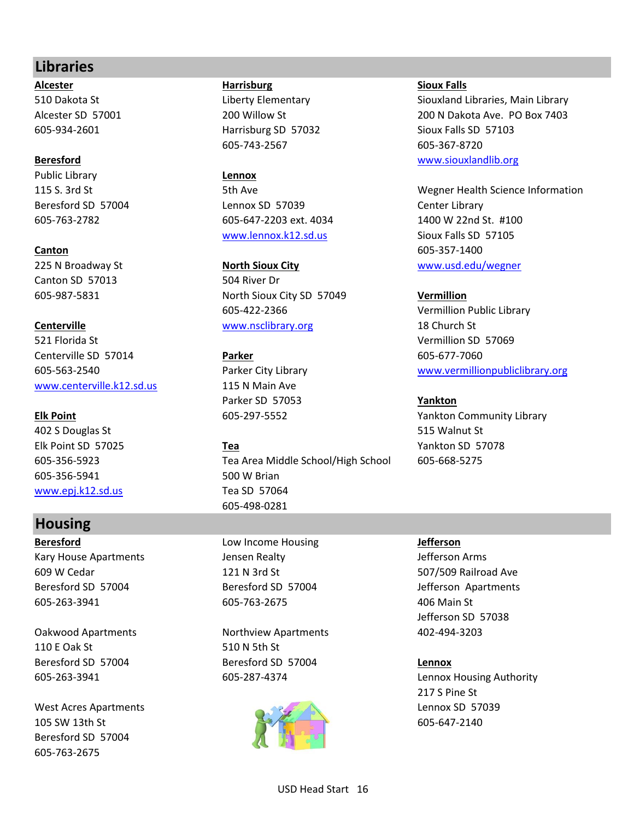# **Libraries**

**Alcester Harrisburg Sioux Falls**

Public Library **Lennox**

225 N Broadway St **North Sioux City WIDENEY WWW.usd.edu/wegner North Sioux City** Canton SD 57013 504 River Dr

521 Florida St Vermillion SD 57069 **Centerville SD 57014 Parker Parker** 605-677-7060 [www.centerville.k12.sd.us](http://www.centerville.k12.sd.us/) 115 N Main Ave

Account St 515 Walnut St 515 Walnut St 515 Walnut St 515 Walnut St 515 Walnut St 515 Walnut St 515 Walnut St 515 Walnut St 515 Walnut St 515 Walnut St 515 Walnut St 515 Walnut St 515 Walnut St 515 Walnut St 515 Walnut St 5 Elk Point SD 57025 **Tea** Yankton SD 57078 605-356-5941 500 W Brian [www.epj.k12.sd.us](http://www.epj.k12.sd.us/) Tea SD 57064

# **Housing**

Kary House Apartments The Stephen Bealty Charges and Sefferson Arms 609 W Cedar 121 N 3rd St 507/509 Railroad Ave Beresford SD 57004 Beresford SD 57004 Jefferson Apartments 605-263-3941 605-763-2675 406 Main St

110 E Oak St 510 N 5th St

West Acres Apartments **Lennox SD 57039** 105 SW 13th St 605-647-2140 Beresford SD 57004 605-763-2675

605-934-2601 Harrisburg SD 57032 Sioux Falls SD 57103 605-743-2567 605-367-8720

Beresford SD 57004 Lennox SD 57039 Center Library 605-763-2782 605-647-2203 ext. 4034 1400 W 22nd St. #100 [www.lennox.k12.sd.us](http://www.lennox.k12.sd.us/) Sioux Falls SD 57105

605-987-5831 North Sioux City SD 57049 **Vermillion** 605-422-2366 Vermillion Public Library **Centerville Centerville [www.nsclibrary.org](http://www.nsclibrary.org/) 18 Church St** 

Parker SD 57053 **Yankton**

605-356-5923 Tea Area Middle School/High School 605-668-5275 605-498-0281

**Beresford** Low Income Housing **Jefferson**

Oakwood Apartments Northview Apartments 402-494-3203 Beresford SD 57004 Beresford SD 57004 **Lennox**



510 Dakota St **Liberty Elementary** Siouxland Libraries, Main Library State State Control of Library Alcester SD 57001 200 Willow St 200 200 Willow St 200 N Dakota Ave. PO Box 7403 **Beresford** [www.siouxlandlib.org](http://www.siouxlandlib.org/)

115 S. 3rd St 5th Ave Wegner Health Science Information **Canton** 605-357-1400

605-563-2540 Parker City Library [www.vermillionpubliclibrary.org](http://www.vermillionpubliclibrary.org/)

**Elk Point** 605-297-5552 Yankton Community Library

Jefferson SD 57038

605-263-3941 605-287-4374 Lennox Housing Authority 217 S Pine St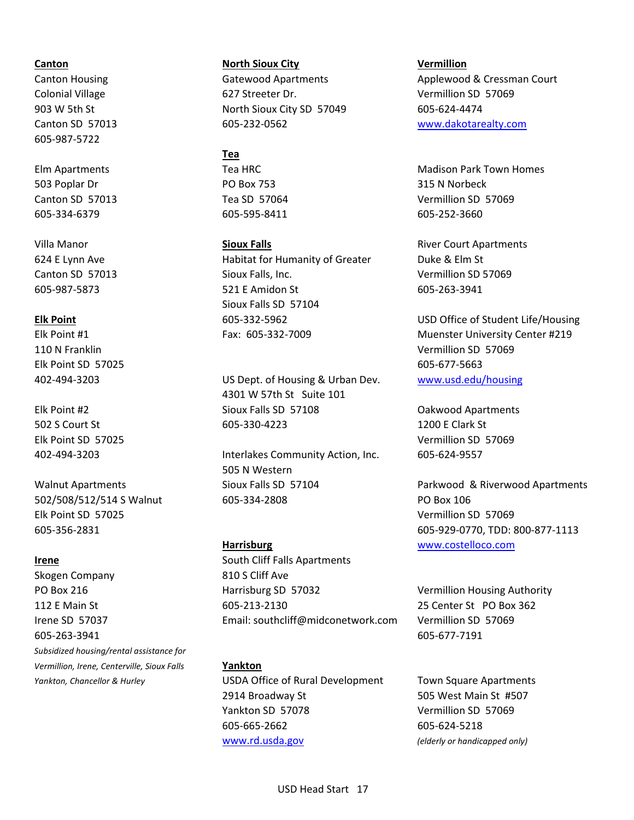605-987-5722

503 Poplar Dr **PO Box 753** 315 N Norbeck 605-334-6379 605-595-8411 605-252-3660

Elk Point SD 57025 605-677-5663

Elk Point SD 57025 Vermillion SD 57069

Skogen Company 810 S Cliff Ave 605-263-3941 605-677-7191 *Subsidized housing/rental assistance for Vermillion, Irene, Centerville, Sioux Falls* **Yankton**

**Canton North Sioux City Vermillion** Colonial Village 627 Streeter Dr. Vermillion SD 57069 903 W 5th St **North Sioux City SD 57049** 605-624-4474 Canton SD 57013 605-232-0562 [www.dakotarealty.com](http://www.dakotarealty.com/)

### **Tea**

Villa Manor **Sioux Falls Sioux Falls River Court Apartments River Court Apartments** 624 E Lynn Ave **Habitat for Humanity of Greater** Duke & Elm St Canton SD 57013 Sioux Falls, Inc. Vermillion SD 57069 605-987-5873 521 E Amidon St 605-263-3941 Sioux Falls SD 57104

402-494-3203 US Dept. of Housing & Urban Dev. [www.usd.edu/housing](http://www.usd.edu/housing) 4301 W 57th St Suite 101 Elk Point #2 Sioux Falls SD 57108 Oakwood Apartments 502 S Court St 605-330-4223 1200 E Clark St

402-494-3203 Interlakes Community Action, Inc. 605-624-9557 505 N Western 502/508/512/514 S Walnut 605-334-2808 PO Box 106

**Irene** South Cliff Falls Apartments PO Box 216 **Harrisburg SD 57032** Vermillion Housing Authority Vermillion Housing Authority 112 E Main St 605-213-2130 25 Center St PO Box 362 Irene SD 57037 Email: southcliff@midconetwork.com Vermillion SD 57069

*Yankton, Chancellor & Hurley* USDA Office of Rural Development Town Square Apartments 2914 Broadway St 505 West Main St #507 Yankton SD 57078 Vermillion SD 57069 605-665-2662 605-624-5218 [www.rd.usda.gov](http://www.rd.usda.gov/) *(elderly or handicapped only)*

Canton Housing The Gatewood Apartments Applewood & Cressman Court

Elm Apartments **Tea HRC** Tea HRC Madison Park Town Homes Canton SD 57013 Tea SD 57064 Vermillion SD 57069

**Elk Point** 605-332-5962 USD Office of Student Life/Housing Elk Point #1 Fax: 605-332-7009 Muenster University Center #219 110 N Franklin Vermillion SD 57069

Elk Point SD 57025 Vermillion SD 57069

Walnut Apartments Sioux Falls SD 57104 Parkwood & Riverwood Apartments 605-356-2831 605-929-0770, TDD: 800-877-1113 **Harrisburg** [www.costelloco.com](http://www.costelloco.com/)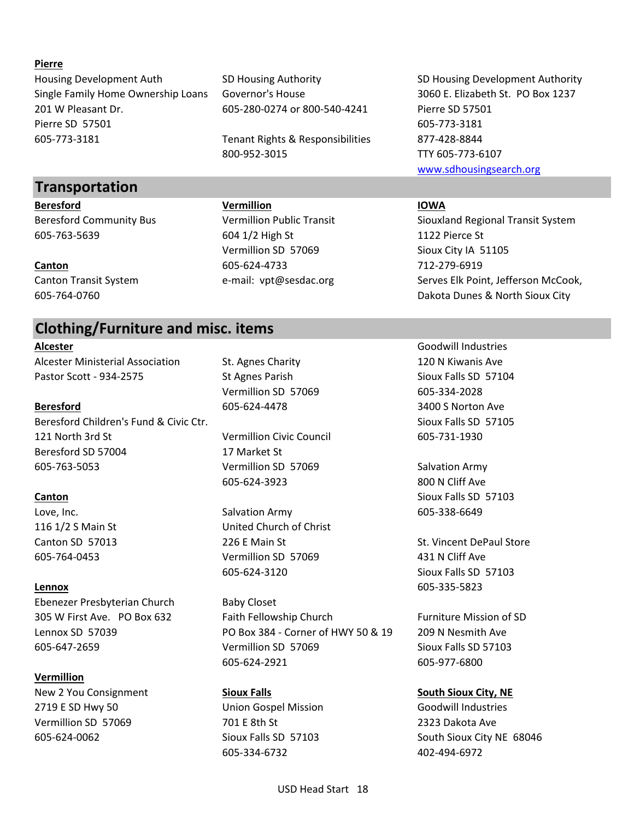## **Pierre**

Housing Development Auth SD Housing Authority SD Housing Development Authority Single Family Home Ownership Loans Governor's House 3060 E. Elizabeth St. PO Box 1237 201 W Pleasant Dr. 605-280-0274 or 800-540-4241 Pierre SD 57501 Pierre SD 57501 605-773-3181 605-773-3181 Tenant Rights & Responsibilities 877-428-8844

# **Transportation**

605-763-5639 604 1/2 High St 1122 Pierce St

# **Clothing/Furniture and misc. items**

Alcester Ministerial Association St. Agnes Charity 120 N Kiwanis Ave Pastor Scott - 934-2575 St Agnes Parish Strawburs Sioux Falls SD 57104

**Beresford** 605-624-4478 3400 S Norton Ave Beresford Children's Fund & Civic Ctr. Sioux Falls SD 57105 121 North 3rd St Vermillion Civic Council 605-731-1930 Beresford SD 57004 17 Market St 605-763-5053 Vermillion SD 57069 Salvation Army

**Lennox** 605-335-5823 Ebenezer Presbyterian Church Baby Closet

# **Vermillion**

New 2 You Consignment **Sioux Falls South Sioux City, NE** 2719 E SD Hwy 50 Union Gospel Mission Goodwill Industries Vermillion SD 57069 701 E 8th St 2323 Dakota Ave

800-952-3015 TTY 605-773-6107

**Beresford Vermillion IOWA** Vermillion SD 57069 Sioux City IA 51105 **Canton** 605-624-4733 712-279-6919

Vermillion SD 57069 605-334-2028

605-624-3923 800 N Cliff Ave

Love, Inc. 605-338-6649 116 1/2 S Main St United Church of Christ 605-764-0453 Vermillion SD 57069 431 N Cliff Ave 605-624-3120 Sioux Falls SD 57103

305 W First Ave. PO Box 632 Faith Fellowship Church Furniture Mission of SD Lennox SD 57039 PO Box 384 - Corner of HWY 50 & 19 209 N Nesmith Ave 605-647-2659 Vermillion SD 57069 Sioux Falls SD 57103 605-624-2921 605-977-6800

605-334-6732 402-494-6972

[www.sdhousingsearch.org](http://www.sdhousingsearch.org/)

Beresford Community Bus Vermillion Public Transit Siouxland Regional Transit System Canton Transit System **EXA EXAMO E-mail: vpt@sesdac.org Serves Elk Point, Jefferson McCook,** 605-764-0760 Dakota Dunes & North Sioux City

**Alcester** Goodwill Industries

**Canton** Sioux Falls SD 57103

Canton SD 57013 226 E Main St St. Vincent DePaul Store

605-624-0062 Sioux Falls SD 57103 South Sioux City NE 68046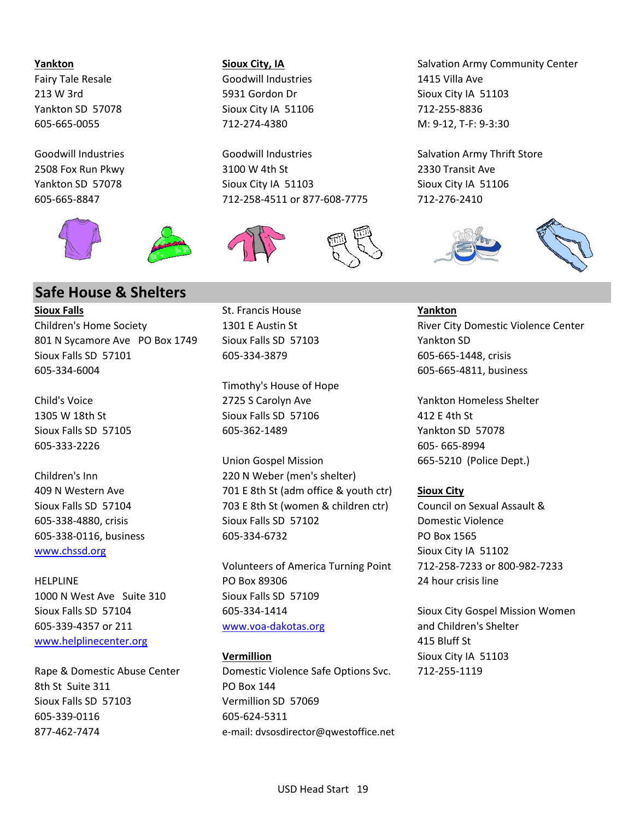

# **Safe House & Shelters**

**Sioux Falls** St. Francis House **Yankton** 801 N Sycamore Ave PO Box 1749 Sioux Falls SD 57103 Yankton SD Sioux Falls SD 57101 605-334-3879 605-665-1448, crisis 605-334-6004 605-665-4811, business

605-333-2226 605- 665-8994

[www.chssd.org](http://www.chssd.org/) Sioux City IA 51102

1000 N West Ave Suite 310 Sioux Falls SD 57109 [www.helplinecenter.org](http://www.helplinecenter.org/) 415 Bluff St

8th St Suite 311 PO Box 144 Sioux Falls SD 57103 Vermillion SD 57069 605-339-0116 605-624-5311

Fairy Tale Resale Goodwill Industries 1415 Villa Ave Yankton SD 57078 Sioux City IA 51106 712-255-8836

2508 Fox Run Pkwy 3100 W 4th St 2330 Transit Ave Yankton SD 57078 Sioux City IA 51103 Sioux City IA 51106 605-665-8847 712-258-4511 or 877-608-7775 712-276-2410





Timothy's House of Hope Child's Voice 2725 S Carolyn Ave Yankton Homeless Shelter 1305 W 18th St Sioux Falls SD 57106 412 E 4th St Sioux Falls SD 57105 605-362-1489 Yankton SD 57078

Union Gospel Mission 665-5210 (Police Dept.) Children's Inn 220 N Weber (men's shelter) 409 N Western Ave 701 E 8th St (adm office & youth ctr) **Sioux City** Sioux Falls SD 57104 703 E 8th St (women & children ctr) Council on Sexual Assault & 605-338-4880, crisis Sioux Falls SD 57102 Domestic Violence 605-338-0116, business 605-334-6732 PO Box 1565

Volunteers of America Turning Point 712-258-7233 or 800-982-7233 HELPLINE PO Box 89306 24 hour crisis line Sioux Falls SD 57104 605-334-1414 Sioux City Gospel Mission Women 605-339-4357 or 211 [www.voa-dakotas.org](http://www.voa-dakotas.org/) and Children's Shelter

**Vermillion** Sioux City IA 51103 Rape & Domestic Abuse Center Domestic Violence Safe Options Svc. 712-255-1119 877-462-7474 e-mail: dvsosdirector@qwestoffice.net

**Yankton Sioux City, IA** Salvation Army Community Center 213 W 3rd 5931 Gordon Dr Subset City IA 51103 605-665-0055 712-274-4380 M: 9-12, T-F: 9-3:30

Goodwill Industries **Goodwill Industries** Goodwill Industries Salvation Army Thrift Store



Children's Home Society **1301 E** Austin St **River City Domestic Violence Center** Communication Center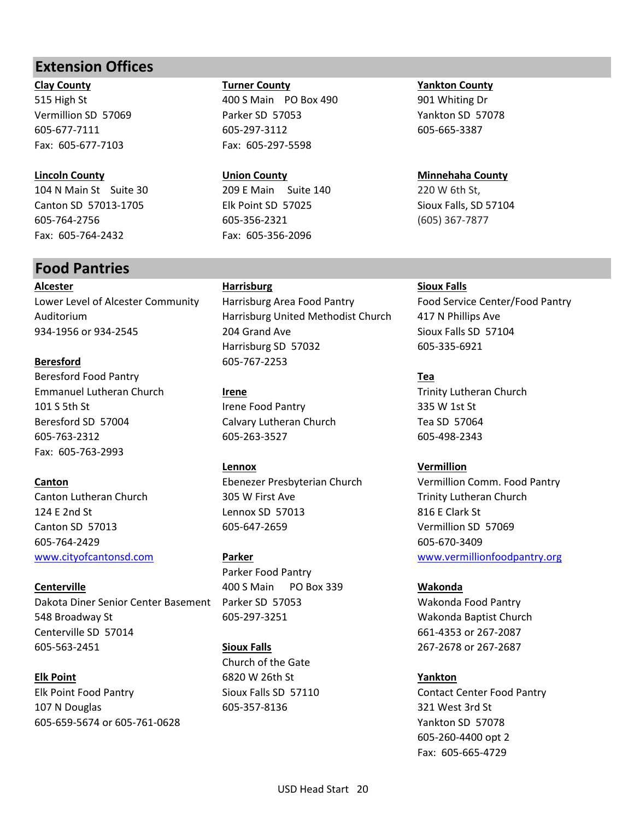# **Extension Offices**

Fax: 605-677-7103 Fax: 605-297-5598

**Lincoln County Union County Minnehaha County** 104 N Main St Suite 30 209 E Main Suite 140 220 W 6th St, Canton SD 57013-1705 Elk Point SD 57025 Sioux Falls, SD 57104 605-764-2756 605-356-2321 (605) 367-7877 Fax: 605-764-2432 Fax: 605-356-2096

# **Food Pantries**

**Alcester Harrisburg Sioux Falls**

**Beresford** 605-767-2253 Beresford Food Pantry **Tea** Emmanuel Lutheran Church **Irene** Trinity Lutheran Church 101 S 5th St **Irene Food Pantry** 335 W 1st St Beresford SD 57004 Calvary Lutheran Church Tea SD 57064 605-763-2312 605-263-3527 605-498-2343 Fax: 605-763-2993

605-764-2429 605-670-3409

**Centerville** 400 S Main PO Box 339 **Wakonda** Dakota Diner Senior Center Basement Parker SD 57053 Wakonda Food Pantry 548 Broadway St 605-297-3251 Wakonda Baptist Church Centerville SD 57014 661-4353 or 267-2087 605-563-2451 **Sioux Falls** 267-2678 or 267-2687

**Elk Point** 6820 W 26th St **Yankton** Elk Point Food Pantry **Sioux Falls SD 57110** Contact Center Food Pantry 107 N Douglas 605-357-8136 321 West 3rd St 605-659-5674 or 605-761-0628 Yankton SD 57078

**Clay County Turner County Yankton County** 515 High St **400 S Main PO Box 490** 490 400 5 Main PO Box 490 490 400 5 Main PO Box 490 Vermillion SD 57069 Parker SD 57053 Yankton SD 57078 605-677-7111 605-297-3112 605-665-3387

Lower Level of Alcester Community Harrisburg Area Food Pantry Food Service Center/Food Pantry Auditorium Harrisburg United Methodist Church 417 N Phillips Ave 934-1956 or 934-2545 204 Grand Ave Sioux Falls SD 57104 Harrisburg SD 57032 605-335-6921

**Lennox Vermillion** Canton Lutheran Church 305 W First Ave Trinity Lutheran Church 305 W First Ave 124 F 2nd St Lennox SD 57013 816 F Clark St Canton SD 57013 605-647-2659 Vermillion SD 57069

Parker Food Pantry

Church of the Gate

**Canton Ebenezer Presbyterian Church Vermillion Comm. Food Pantry** [www.cityofcantonsd.com](http://www.cityofcantonsd.com/) **Parker** [www.vermillionfoodpantry.org](http://www.vermillionfoodpantry.org/)

605-260-4400 opt 2 Fax: 605-665-4729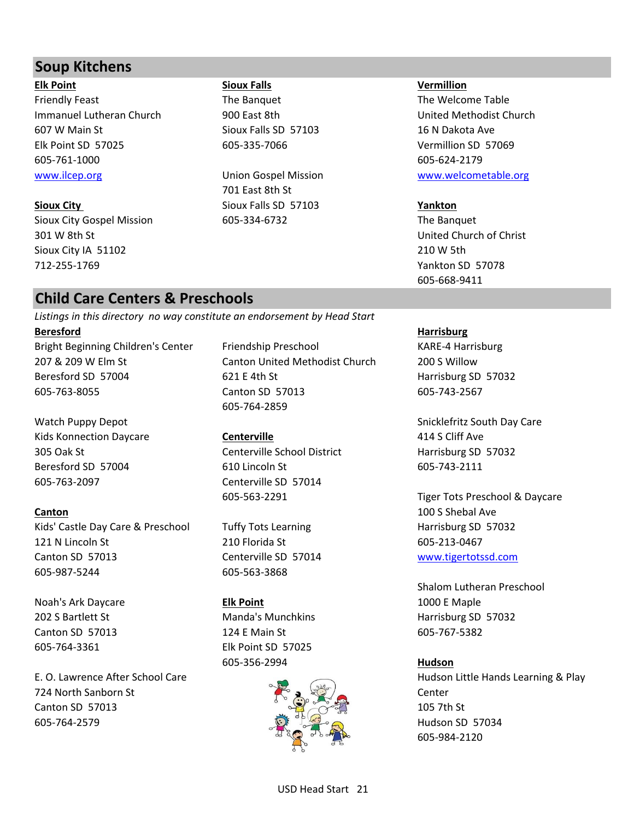# **Soup Kitchens**

**Elk Point Sioux Falls Vermillion** Friendly Feast The Sanquet The Banquet The Welcome Table Immanuel Lutheran Church 900 East 8th Church United Methodist Church 607 W Main St Sioux Falls SD 57103 16 N Dakota Ave Elk Point SD 57025 605-335-7066 Vermillion SD 57069 605-761-1000 605-624-2179 [www.ilcep.org](http://www.ilcep.org/) **No. 2018** Union Gospel Mission [www.welcometable.org](http://www.welcometable.org/)

Sioux City Gospel Mission 605-334-6732 The Banquet 301 W 8th St United Church of Christ Sioux City IA 51102 210 W 5th 712-255-1769 Yankton SD 57078

701 East 8th St **Sioux City** Sioux Falls SD 57103 **Yankton**

605-668-9411

# **Child Care Centers & Preschools**

*Listings in this directory no way constitute an endorsement by Head Start*

Bright Beginning Children's Center Friendship Preschool KARE-4 Harrisburg 207 & 209 W Elm St Canton United Methodist Church 200 S Willow Beresford SD 57004 621 E 4th St Harrisburg SD 57032 605-763-8055 Canton SD 57013 605-743-2567

Kids Konnection Daycare **Centerville Centerville** 414 S Cliff Ave 305 Oak St Centerville School District Harrisburg SD 57032 Beresford SD 57004 610 Lincoln St 605-743-2111 605-763-2097 Centerville SD 57014

**Canton** 100 S Shebal Ave Kids' Castle Day Care & Preschool Tuffy Tots Learning Face Harrisburg SD 57032 121 N Lincoln St 210 Florida St 605-213-0467 Canton SD 57013 Centerville SD 57014 [www.tigertotssd.com](http://www.tigertotssd.com/) 605-987-5244 605-563-3868

Noah's Ark Daycare **Elk Point Elk Point** 1000 E Maple 605-764-3361 Elk Point SD 57025

724 North Sanborn St Center Canton SD 57013 205 7th St 605-764-2579 Hudson SD 57034

605-764-2859

# Canton SD 57013 124 F Main St 605-767-5382 605-356-2994 **Hudson**



**Beresford Harrisburg**

Watch Puppy Depot **Snicklefritz South Day Care** 

605-563-2291 Tiger Tots Preschool & Daycare

Shalom Lutheran Preschool 202 S Bartlett St Manda's Munchkins Harrisburg SD 57032

E. O. Lawrence After School Care **Hudson Little Hands Learning & Play** 605-984-2120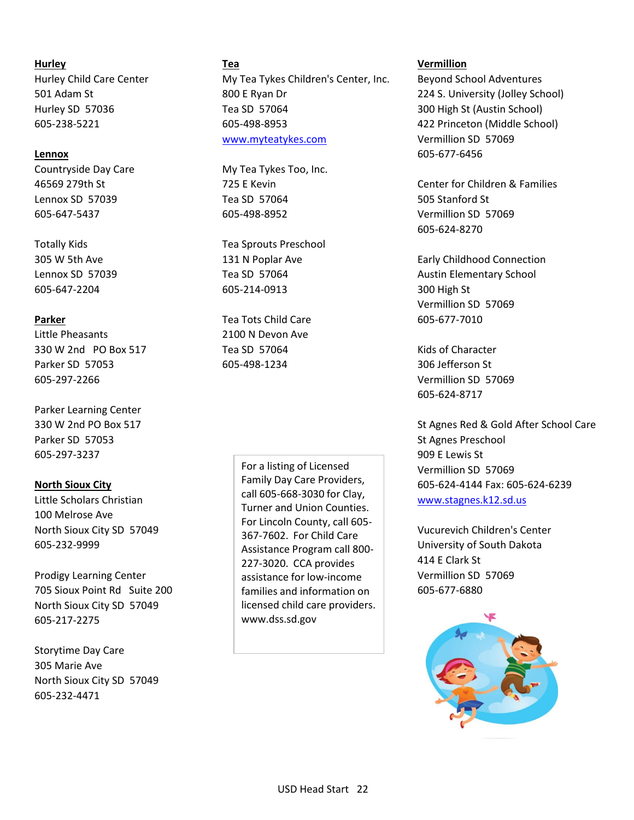Little Pheasants 2100 N Devon Ave 330 W 2nd PO Box 517 Tea SD 57064 Kids of Character Parker SD 57053 605-498-1234 306 Jefferson St 605-297-2266 Vermillion SD 57069

Parker Learning Center Parker SD 57053 St Agnes Preschool 605-297-3237 909 E Lewis St

100 Melrose Ave

Prodigy Learning Center and Assistance for low-income Vermillion SD 57069 705 Sioux Point Rd Suite 200 **Families and information on 605-677-6880** North Sioux City SD 57049 605-217-2275

Storytime Day Care 305 Marie Ave North Sioux City SD 57049 605-232-4471

Hurley Child Care Center **My Tea Tykes Children's Center, Inc.** Beyond School Adventures 501 Adam St 800 E Ryan Dr 224 S. University (Jolley School) Hurley SD 57036 Tea SD 57064 300 High St (Austin School) 605-238-5221 605-498-8953 422 Princeton (Middle School) [www.myteatykes.com](http://www.myteatykes.com/) Vermillion SD 57069

Countryside Day Care My Tea Tykes Too, Inc. Lennox SD 57039 Tea SD 57064 505 Stanford St 605-647-5437 605-498-8952 Vermillion SD 57069

Totally Kids Tea Sprouts Preschool 605-647-2204 605-214-0913 300 High St

**Parker Parker Tea Tots Child Care 605-677-7010** 

Little Scholars Christian **Example 2008-2008-3030 for Clay,** [www.stagnes.k12.sd.us](http://www.stagnes.k12.sd.us/) North Sioux City SD 57049 Vucurevich Children's Center 605-232-9999 University of South Dakota For a listing of Licensed Family Day Care Providers, call 605-668-3030 for Clay, Turner and Union Counties. For Lincoln County, call 605- 367-7602. For Child Care Assistance Program call 800- 227-3020. CCA provides assistance for low-income licensed child care providers. www.dss.sd.gov

### **Hurley Tea Vermillion**

**Lennox** 605-677-6456

46569 279th St 725 E Kevin Center for Children & Families 605-624-8270

305 W 5th Ave 131 N Poplar Ave Early Childhood Connection Connection Lennox SD 57039 Tea SD 57064 Austin Elementary School Charles Austin Elementary School Vermillion SD 57069

605-624-8717

330 W 2nd PO Box 517 St Agnes Red & Gold After School Care Vermillion SD 57069 **North Sioux City** 605-624-4144 Fax: 605-624-6239

414 E Clark St

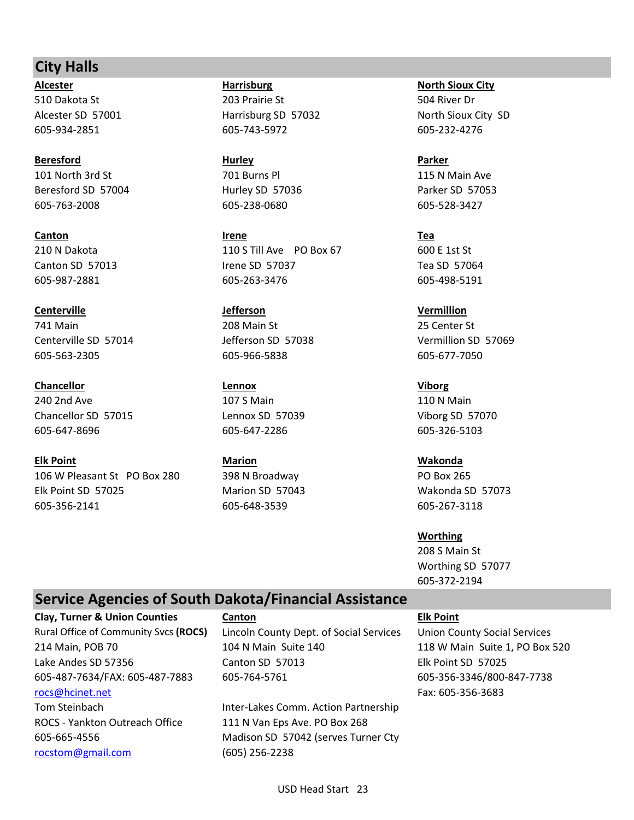# **City Halls**

**Beresford Hurley Parker** 101 North 3rd St 701 Burns Pl 115 N Main Ave Beresford SD 57004 Hurley SD 57036 Parker SD 57053 605-763-2008 605-238-0680 605-528-3427

**Centerville Jefferson Vermillion** 741 Main 208 Main St 25 Center St 605-563-2305 605-966-5838 605-677-7050

**Chancellor Lennox Viborg** 240 2nd Ave 107 S Main 107 S Main 110 N Main Chancellor SD 57015 Lennox SD 57039 Viborg SD 57070 605-647-8696 605-647-2286 605-326-5103

**Elk Point Marion Wakonda** 106 W Pleasant St PO Box 280 398 N Broadway PO Box 265 Elk Point SD 57025 Marion SD 57043 Wakonda SD 57073 605-356-2141 605-648-3539 605-267-3118

**Alcester Harrisburg North Sioux City** 510 Dakota St 203 Prairie St 504 River Dr Alcester SD 57001 **Harrisburg SD 57032** North Sioux City SD 67001 605-934-2851 605-743-5972 605-232-4276

**Canton Irene Tea** 210 N Dakota 110 S Till Ave PO Box 67 600 E 1st St Canton SD 57013 Irene SD 57037 Tea SD 57064 605-987-2881 605-263-3476 605-498-5191

Centerville SD 57014 Jefferson SD 57038 Vermillion SD 57069

**Worthing** 208 S Main St Worthing SD 57077 605-372-2194

# **Service Agencies of South Dakota/Financial Assistance**

**Clay, Turner & Union Counties Canton Elk Point** [rocs@hcinet.net](mailto:rocs@hcinet.net) Fax: 605-356-3683 ROCS - Yankton Outreach Office 111 N Van Eps Ave. PO Box 268

[rocstom@gmail.com](mailto:rocstom@gmail.com) (605) 256-2238

Rural Office of Community Svcs **(ROCS)** Lincoln County Dept. of Social Services Union County Social Services 214 Main, POB 70 104 N Main Suite 140 118 W Main Suite 1, PO Box 520 Lake Andes SD 57356 Canton SD 57013 Elk Point SD 57025 605-487-7634/FAX: 605-487-7883 605-764-5761 605-356-3346/800-847-7738

Tom Steinbach Inter-Lakes Comm. Action Partnership 605-665-4556 Madison SD 57042 (serves Turner Cty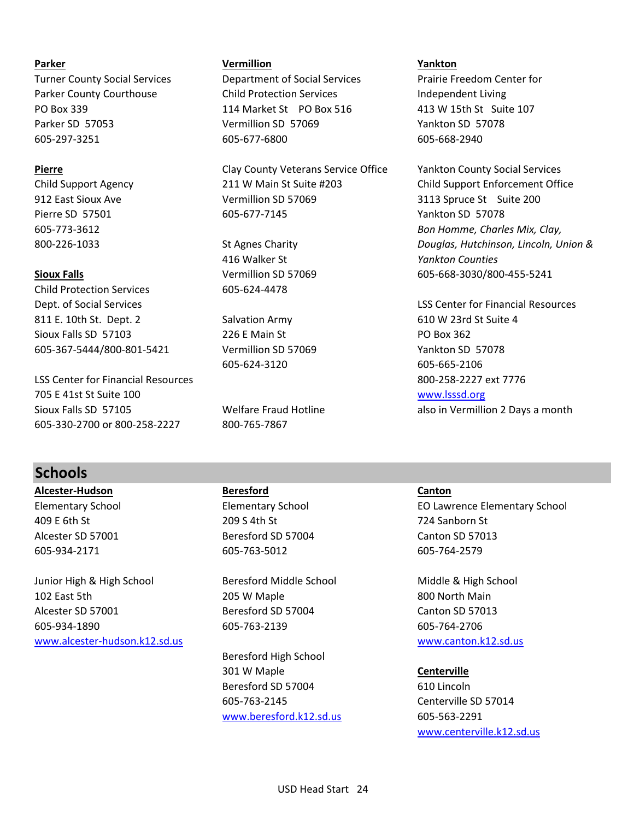Child Protection Services 605-624-4478 811 E. 10th St. Dept. 2 Salvation Army 610 W 23rd St Suite 4 Sioux Falls SD 57103 226 E Main St PO Box 362 605-367-5444/800-801-5421 Vermillion SD 57069 Yankton SD 57078

LSS Center for Financial Resources 800-258-2227 ext 7776 705 E 41st St Suite 100 [www.lsssd.org](http://www.lsssd.org/) Sioux Falls SD 57105 **Welfare Fraud Hotline** also in Vermillion 2 Days a month 605-330-2700 or 800-258-2227 800-765-7867

# **Parker Vermillion Yankton**

Turner County Social Services Department of Social Services Prairie Freedom Center for Parker County Courthouse **Child Protection Services** Independent Living PO Box 339 114 Market St PO Box 516 413 W 15th St Suite 107 Parker SD 57053 Vermillion SD 57069 Yankton SD 57078 605-297-3251 605-677-6800 605-668-2940

**Pierre Example 2 Pierre** Clay County Veterans Service Office Yankton County Social Services Child Support Agency 211 W Main St Suite #203 Child Support Enforcement Office 912 East Sioux Ave Vermillion SD 57069 3113 Spruce St Suite 200 Pierre SD 57501 605-677-7145 And the SD 57078

416 Walker St *Yankton Counties*

605-624-3120 605-665-2106

605-773-3612 *Bon Homme, Charles Mix, Clay,* 800-226-1033 St Agnes Charity *Douglas, Hutchinson, Lincoln, Union &* **Sioux Falls Since 2018 Vermillion SD 57069** 605-668-3030/800-455-5241

Dept. of Social Services LSS Center for Financial Resources

# **Schools**

**Alcester-Hudson Beresford Canton**

Junior High & High School **Beresford Middle School** Middle & High School 102 East 5th 205 W Maple 800 North Main Alcester SD 57001 Beresford SD 57004 Canton SD 57013 605-934-1890 605-763-2139 605-764-2706 [www.alcester-hudson.k12.sd.us](http://www.alcester-hudson.k12.sd.us/) [www.canton.k12.sd.us](http://www.canton.k12.sd.us/)

409 E 6th St 209 S 4th St 724 Sanborn St Alcester SD 57001 Beresford SD 57004 Canton SD 57013 605-934-2171 605-763-5012 605-764-2579

Beresford High School 301 W Maple **Centerville** Beresford SD 57004 610 Lincoln 605-763-2145 Centerville SD 57014 [www.beresford.k12.sd.us](http://www.beresford.k12.sd.us/) 605-563-2291

Elementary School Elementary School EO Lawrence Elementary School

[www.centerville.k12.sd.us](http://www.centerville.k12.sd.us/)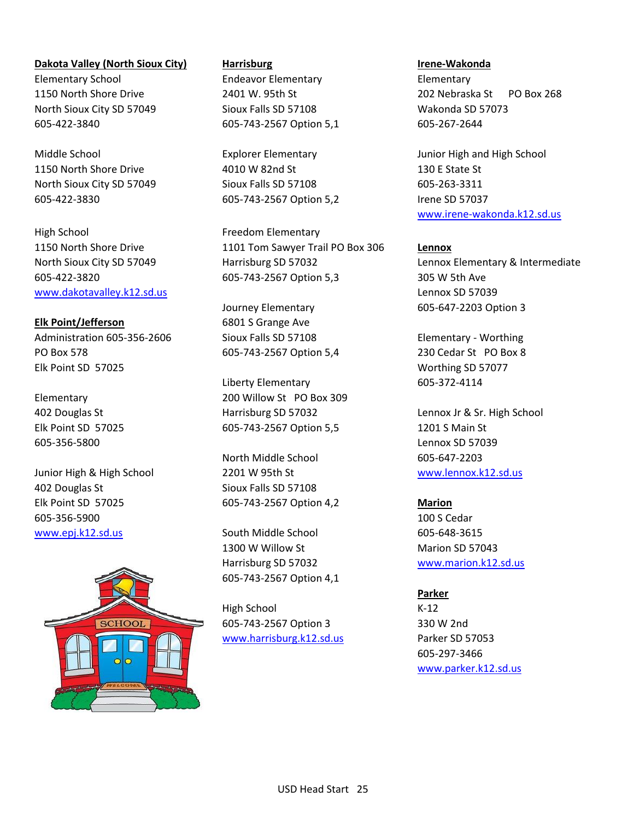**Dakota Valley (North Sioux City) Harrisburg Irene-Wakonda** Elementary School Endeavor Elementary Elementary North Sioux City SD 57049 Sioux Falls SD 57108 Wakonda SD 57073 605-422-3840 605-743-2567 Option 5,1 605-267-2644

1150 North Shore Drive 130 E State St 130 E State St North Sioux City SD 57049 Sioux Falls SD 57108 605-263-3311 605-422-3830 605-743-2567 Option 5,2 Irene SD 57037

High School **Freedom Elementary** [www.dakotavalley.k12.sd.us](http://www.dakotavalley.k12.sd.us/) Lennox SD 57039

**Elk Point/Jefferson** 6801 S Grange Ave Administration 605-356-2606 Sioux Falls SD 57108 Elementary - Worthing PO Box 578 605-743-2567 Option 5,4 230 Cedar St PO Box 8 Elk Point SD 57025 Worthing SD 57077

605-356-5800 Lennox SD 57039

Junior High & High School 2201 W 95th St [www.lennox.k12.sd.us](http://www.lennox.k12.sd.us/) 402 Douglas St Sioux Falls SD 57108 Elk Point SD 57025 605-743-2567 Option 4,2 **Marion** 605-356-5900 100 S Cedar [www.epj.k12.sd.us](http://www.epj.k12.sd.us/) South Middle School 605-648-3615



1150 North Shore Drive 1101 Tom Sawyer Trail PO Box 306 **Lennox** 605-422-3820 605-743-2567 Option 5,3 305 W 5th Ave

Journey Elementary 605-647-2203 Option 3

Liberty Elementary 605-372-4114 Elementary 200 Willow St PO Box 309 402 Douglas St **Harrisburg SD 57032** Lennox Jr & Sr. High School Company 30 Harrisburg SD 57032 Elk Point SD 57025 605-743-2567 Option 5,5 1201 S Main St

North Middle School 605-647-2203

1300 W Willow St Marion SD 57043 Harrisburg SD 57032 [www.marion.k12.sd.us](http://www.marion.k12.sd.us/) 605-743-2567 Option 4,1

High School K-12 605-743-2567 Option 3 330 W 2nd [www.harrisburg.k12.sd.us](http://www.harrisburg.k12.sd.us/) Parker SD 57053

1150 North Shore Drive 2401 W. 95th St 202 Nebraska St PO Box 268

Middle School Explorer Elementary Junior High and High School [www.irene-wakonda.k12.sd.us](http://www.irene-wakonda.k12.sd.us/)

North Sioux City SD 57049 Harrisburg SD 57032 Lennox Elementary & Intermediate

**Parker** 605-297-3466 [www.parker.k12.sd.us](http://www.parker.k12.sd.us/)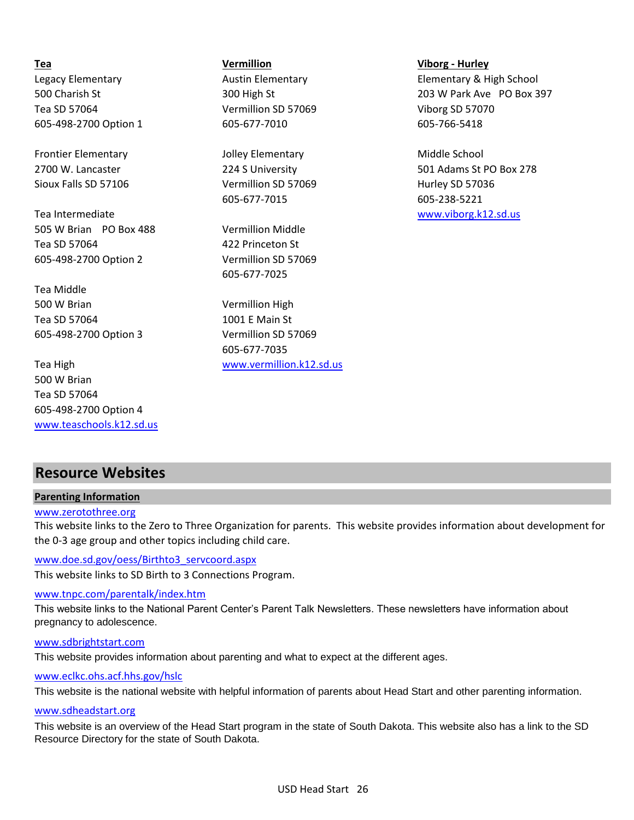Tea SD 57064 Vermillion SD 57069 Viborg SD 57070 605-498-2700 Option 1 605-677-7010 605-766-5418

Frontier Elementary Tolley Elementary and Jolley Elementary Middle School Sioux Falls SD 57106 **Vermillion SD 57069** Hurley SD 57036

Tea Intermediate [www.viborg.k12.sd.us](http://www.viborg.k12.sd.us/) 505 W Brian PO Box 488 Vermillion Middle Tea SD 57064 422 Princeton St 605-498-2700 Option 2 Vermillion SD 57069

Tea Middle 500 W Brian Vermillion High Tea SD 57064 1001 E Main St 605-498-2700 Option 3 Vermillion SD 57069

500 W Brian Tea SD 57064 605-498-2700 Option 4 [www.teaschools.k12.sd.us](http://www.teaschools.k12.sd.us/)

**Tea Vermillion Viborg - Hurley**

605-677-7015 605-238-5221

605-677-7025

605-677-7035 Tea High [www.vermillion.k12.sd.us](http://www.vermillion.k12.sd.us/)

Legacy Elementary **Austin Elementary Clementary Elementary & High School** Clementary & High School 500 Charish St 300 High St 203 W Park Ave PO Box 397

2700 W. Lancaster 224 S University 501 Adams St PO Box 278

# **Resource Websites**

### **Parenting Information**

### [www.zerotothree.org](http://www.zerotothree.org/)

This website links to the Zero to Three Organization for parents. This website provides information about development for the 0-3 age group and other topics including child care.

This website links to SD Birth to 3 Connections Program. [www.doe.sd.gov/oess/Birthto3\\_servcoo](http://www.doe.sd.gov/oess/Birthto3_servcoord.aspx)rd.aspx

### [www.tnpc.com/parentalk/index.htm](http://www.tnpc.com/parentalk/index.htm)

This website links to the National Parent Center's Parent Talk Newsletters. These newsletters have information about pregnancy to adolescence.

### [www.sdbrightstart.com](http://www.sdbrightstart.com/)

This website provides information about parenting and what to expect at the different ages.

### [www.eclkc.ohs.acf.hhs.gov/hslc](http://www.eclkc.ohs.acf.hhs.gov/hslc)

This website is the national website with helpful information of parents about Head Start and other parenting information.

### [www.sdheadstart.org](http://www.sdheadstart.org/)

This website is an overview of the Head Start program in the state of South Dakota. This website also has a link to the SD Resource Directory for the state of South Dakota.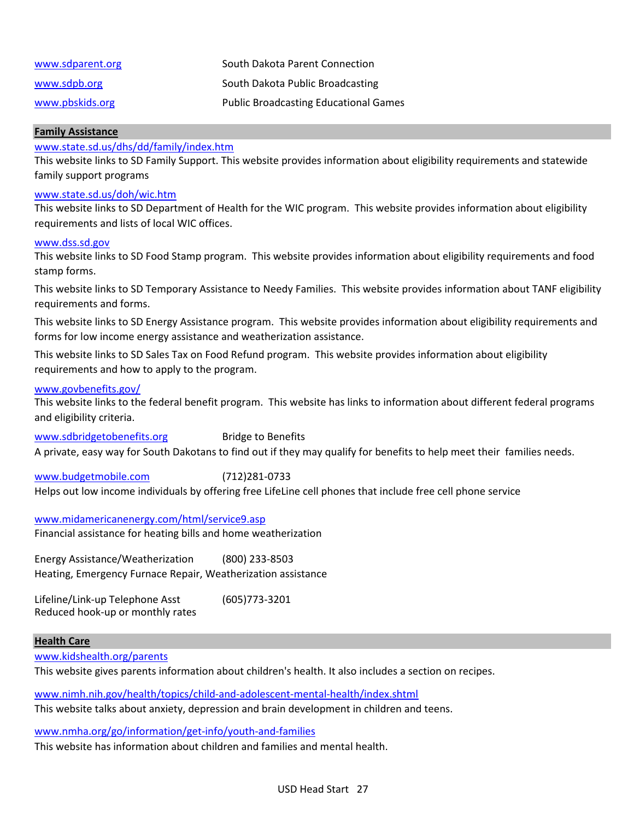| www.sdparent.org | South Dakota Parent Connection               |
|------------------|----------------------------------------------|
| www.sdpb.org     | South Dakota Public Broadcasting             |
| www.pbskids.org  | <b>Public Broadcasting Educational Games</b> |

### **Family Assistance**

### [www.state.sd.us/dhs/dd/family/index.h](http://www.state.sd.us/dhs/dd/family/index.htm)tm

This website links to SD Family Support. This website provides information about eligibility requirements and statewide family support programs

### [www.state.sd.us/doh/wic.htm](http://www.state.sd.us/doh/wic.htm)

This website links to SD Department of Health for the WIC program. This website provides information about eligibility requirements and lists of local WIC offices.

### [www.dss.sd.gov](http://www.dss.sd.gov/)

This website links to SD Food Stamp program. This website provides information about eligibility requirements and food stamp forms.

This website links to SD Temporary Assistance to Needy Families. This website provides information about TANF eligibility requirements and forms.

This website links to SD Energy Assistance program. This website provides information about eligibility requirements and forms for low income energy assistance and weatherization assistance.

This website links to SD Sales Tax on Food Refund program. This website provides information about eligibility requirements and how to apply to the program.

### [www.govbenefits.gov/](http://www.govbenefits.gov/)

This website links to the federal benefit program. This website has links to information about different federal programs and eligibility criteria.

[www.sdbridgetobenefits.org](http://www.sdbridgetobenefits.org/) Bridge to Benefits A private, easy way for South Dakotans to find out if they may qualify for benefits to help meet their families needs.

[www.budgetmobile.com](http://www.budgetmobile.com/) (712)281-0733 Helps out low income individuals by offering free LifeLine cell phones that include free cell phone service

[www.midamericanenergy.com/html/service9.asp](http://www.midamericanenergy.com/html/service9.asp) Financial assistance for heating bills and home weatherization

Energy Assistance/Weatherization (800) 233-8503 Heating, Emergency Furnace Repair, Weatherization assistance

Lifeline/Link-up Telephone Asst (605)773-3201 Reduced hook-up or monthly rates

### **Health Care**

[www.kidshealth.org/parents](http://www.kidshealth.org/parents)

This website gives parents information about children's health. It also includes a section on recipes.

[www.nimh.nih.gov/health/topics/child-and-adolescent-mental-health/index.shtml](http://www.nimh.nih.gov/health/topics/child-and-adolescent-mental-health/index.shtml)

This website talks about anxiety, depression and brain development in children and teens.

[www.nmha.org/go/information/get-info/youth-and-families](http://www.nmha.org/go/information/get-info/youth-and-families)

This website has information about children and families and mental health.